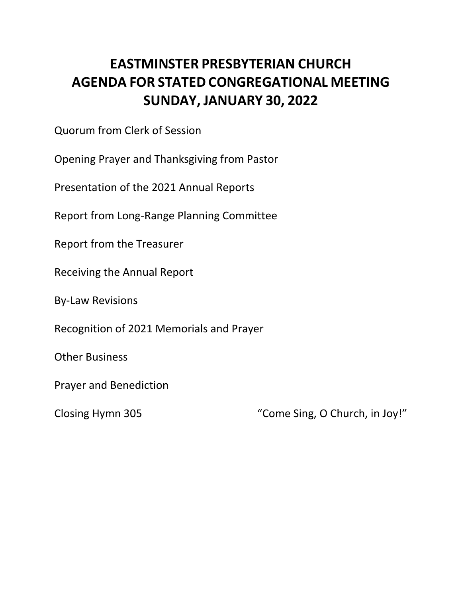## **EASTMINSTER PRESBYTERIAN CHURCH AGENDA FOR STATED CONGREGATIONAL MEETING SUNDAY, JANUARY 30, 2022**

Quorum from Clerk of Session

Opening Prayer and Thanksgiving from Pastor

Presentation of the 2021 Annual Reports

Report from Long-Range Planning Committee

Report from the Treasurer

Receiving the Annual Report

By-Law Revisions

Recognition of 2021 Memorials and Prayer

Other Business

Prayer and Benediction

Closing Hymn 305 "Come Sing, O Church, in Joy!"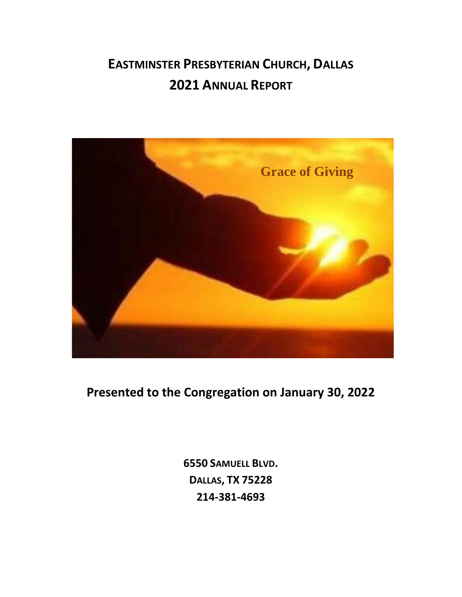# **EASTMINSTER PRESBYTERIAN CHURCH, DALLAS 2021 ANNUAL REPORT**



**Presented to the Congregation on January 30, 2022**

**6550 SAMUELL BLVD. DALLAS, TX 75228 214-381-4693**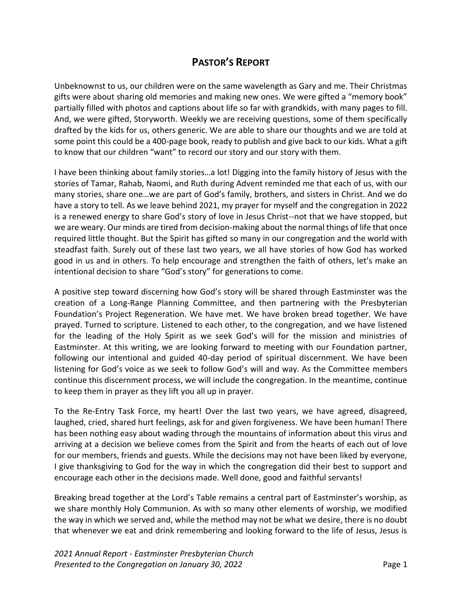## **PASTOR'S REPORT**

Unbeknownst to us, our children were on the same wavelength as Gary and me. Their Christmas gifts were about sharing old memories and making new ones. We were gifted a "memory book" partially filled with photos and captions about life so far with grandkids, with many pages to fill. And, we were gifted, Storyworth. Weekly we are receiving questions, some of them specifically drafted by the kids for us, others generic. We are able to share our thoughts and we are told at some point this could be a 400-page book, ready to publish and give back to our kids. What a gift to know that our children "want" to record our story and our story with them.

I have been thinking about family stories…a lot! Digging into the family history of Jesus with the stories of Tamar, Rahab, Naomi, and Ruth during Advent reminded me that each of us, with our many stories, share one…we are part of God's family, brothers, and sisters in Christ. And we do have a story to tell. As we leave behind 2021, my prayer for myself and the congregation in 2022 is a renewed energy to share God's story of love in Jesus Christ--not that we have stopped, but we are weary. Our minds are tired from decision-making about the normal things of life that once required little thought. But the Spirit has gifted so many in our congregation and the world with steadfast faith. Surely out of these last two years, we all have stories of how God has worked good in us and in others. To help encourage and strengthen the faith of others, let's make an intentional decision to share "God's story" for generations to come.

A positive step toward discerning how God's story will be shared through Eastminster was the creation of a Long-Range Planning Committee, and then partnering with the Presbyterian Foundation's Project Regeneration. We have met. We have broken bread together. We have prayed. Turned to scripture. Listened to each other, to the congregation, and we have listened for the leading of the Holy Spirit as we seek God's will for the mission and ministries of Eastminster. At this writing, we are looking forward to meeting with our Foundation partner, following our intentional and guided 40-day period of spiritual discernment. We have been listening for God's voice as we seek to follow God's will and way. As the Committee members continue this discernment process, we will include the congregation. In the meantime, continue to keep them in prayer as they lift you all up in prayer.

To the Re-Entry Task Force, my heart! Over the last two years, we have agreed, disagreed, laughed, cried, shared hurt feelings, ask for and given forgiveness. We have been human! There has been nothing easy about wading through the mountains of information about this virus and arriving at a decision we believe comes from the Spirit and from the hearts of each out of love for our members, friends and guests. While the decisions may not have been liked by everyone, I give thanksgiving to God for the way in which the congregation did their best to support and encourage each other in the decisions made. Well done, good and faithful servants!

Breaking bread together at the Lord's Table remains a central part of Eastminster's worship, as we share monthly Holy Communion. As with so many other elements of worship, we modified the way in which we served and, while the method may not be what we desire, there is no doubt that whenever we eat and drink remembering and looking forward to the life of Jesus, Jesus is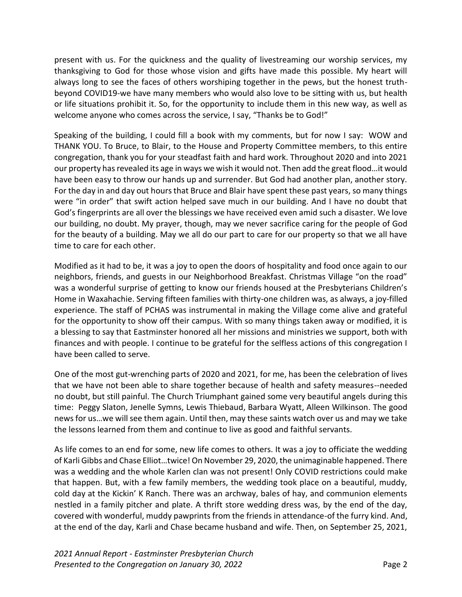present with us. For the quickness and the quality of livestreaming our worship services, my thanksgiving to God for those whose vision and gifts have made this possible. My heart will always long to see the faces of others worshiping together in the pews, but the honest truthbeyond COVID19-we have many members who would also love to be sitting with us, but health or life situations prohibit it. So, for the opportunity to include them in this new way, as well as welcome anyone who comes across the service, I say, "Thanks be to God!"

Speaking of the building, I could fill a book with my comments, but for now I say: WOW and THANK YOU. To Bruce, to Blair, to the House and Property Committee members, to this entire congregation, thank you for your steadfast faith and hard work. Throughout 2020 and into 2021 our property has revealed its age in ways we wish it would not. Then add the great flood…it would have been easy to throw our hands up and surrender. But God had another plan, another story. For the day in and day out hours that Bruce and Blair have spent these past years, so many things were "in order" that swift action helped save much in our building. And I have no doubt that God's fingerprints are all over the blessings we have received even amid such a disaster. We love our building, no doubt. My prayer, though, may we never sacrifice caring for the people of God for the beauty of a building. May we all do our part to care for our property so that we all have time to care for each other.

Modified as it had to be, it was a joy to open the doors of hospitality and food once again to our neighbors, friends, and guests in our Neighborhood Breakfast. Christmas Village "on the road" was a wonderful surprise of getting to know our friends housed at the Presbyterians Children's Home in Waxahachie. Serving fifteen families with thirty-one children was, as always, a joy-filled experience. The staff of PCHAS was instrumental in making the Village come alive and grateful for the opportunity to show off their campus. With so many things taken away or modified, it is a blessing to say that Eastminster honored all her missions and ministries we support, both with finances and with people. I continue to be grateful for the selfless actions of this congregation I have been called to serve.

One of the most gut-wrenching parts of 2020 and 2021, for me, has been the celebration of lives that we have not been able to share together because of health and safety measures--needed no doubt, but still painful. The Church Triumphant gained some very beautiful angels during this time: Peggy Slaton, Jenelle Symns, Lewis Thiebaud, Barbara Wyatt, Alleen Wilkinson. The good news for us…we will see them again. Until then, may these saints watch over us and may we take the lessons learned from them and continue to live as good and faithful servants.

As life comes to an end for some, new life comes to others. It was a joy to officiate the wedding of Karli Gibbs and Chase Elliot…twice! On November 29, 2020, the unimaginable happened. There was a wedding and the whole Karlen clan was not present! Only COVID restrictions could make that happen. But, with a few family members, the wedding took place on a beautiful, muddy, cold day at the Kickin' K Ranch. There was an archway, bales of hay, and communion elements nestled in a family pitcher and plate. A thrift store wedding dress was, by the end of the day, covered with wonderful, muddy pawprints from the friends in attendance-of the furry kind. And, at the end of the day, Karli and Chase became husband and wife. Then, on September 25, 2021,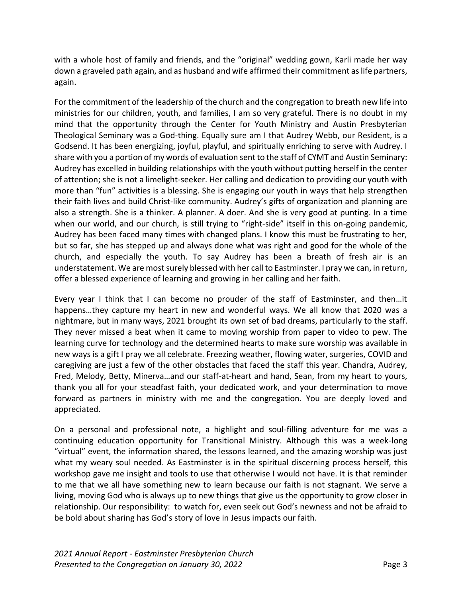with a whole host of family and friends, and the "original" wedding gown, Karli made her way down a graveled path again, and as husband and wife affirmed their commitment as life partners, again.

For the commitment of the leadership of the church and the congregation to breath new life into ministries for our children, youth, and families, I am so very grateful. There is no doubt in my mind that the opportunity through the Center for Youth Ministry and Austin Presbyterian Theological Seminary was a God-thing. Equally sure am I that Audrey Webb, our Resident, is a Godsend. It has been energizing, joyful, playful, and spiritually enriching to serve with Audrey. I share with you a portion of my words of evaluation sent to the staff of CYMT and Austin Seminary: Audrey has excelled in building relationships with the youth without putting herself in the center of attention; she is not a limelight-seeker. Her calling and dedication to providing our youth with more than "fun" activities is a blessing. She is engaging our youth in ways that help strengthen their faith lives and build Christ-like community. Audrey's gifts of organization and planning are also a strength. She is a thinker. A planner. A doer. And she is very good at punting. In a time when our world, and our church, is still trying to "right-side" itself in this on-going pandemic, Audrey has been faced many times with changed plans. I know this must be frustrating to her, but so far, she has stepped up and always done what was right and good for the whole of the church, and especially the youth. To say Audrey has been a breath of fresh air is an understatement. We are most surely blessed with her call to Eastminster. I pray we can, in return, offer a blessed experience of learning and growing in her calling and her faith.

Every year I think that I can become no prouder of the staff of Eastminster, and then…it happens…they capture my heart in new and wonderful ways. We all know that 2020 was a nightmare, but in many ways, 2021 brought its own set of bad dreams, particularly to the staff. They never missed a beat when it came to moving worship from paper to video to pew. The learning curve for technology and the determined hearts to make sure worship was available in new ways is a gift I pray we all celebrate. Freezing weather, flowing water, surgeries, COVID and caregiving are just a few of the other obstacles that faced the staff this year. Chandra, Audrey, Fred, Melody, Betty, Minerva…and our staff-at-heart and hand, Sean, from my heart to yours, thank you all for your steadfast faith, your dedicated work, and your determination to move forward as partners in ministry with me and the congregation. You are deeply loved and appreciated.

On a personal and professional note, a highlight and soul-filling adventure for me was a continuing education opportunity for Transitional Ministry. Although this was a week-long "virtual" event, the information shared, the lessons learned, and the amazing worship was just what my weary soul needed. As Eastminster is in the spiritual discerning process herself, this workshop gave me insight and tools to use that otherwise I would not have. It is that reminder to me that we all have something new to learn because our faith is not stagnant. We serve a living, moving God who is always up to new things that give us the opportunity to grow closer in relationship. Our responsibility: to watch for, even seek out God's newness and not be afraid to be bold about sharing has God's story of love in Jesus impacts our faith.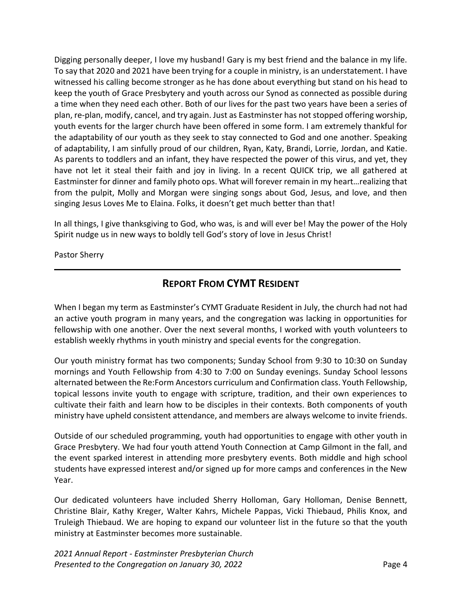Digging personally deeper, I love my husband! Gary is my best friend and the balance in my life. To say that 2020 and 2021 have been trying for a couple in ministry, is an understatement. I have witnessed his calling become stronger as he has done about everything but stand on his head to keep the youth of Grace Presbytery and youth across our Synod as connected as possible during a time when they need each other. Both of our lives for the past two years have been a series of plan, re-plan, modify, cancel, and try again. Just as Eastminster has not stopped offering worship, youth events for the larger church have been offered in some form. I am extremely thankful for the adaptability of our youth as they seek to stay connected to God and one another. Speaking of adaptability, I am sinfully proud of our children, Ryan, Katy, Brandi, Lorrie, Jordan, and Katie. As parents to toddlers and an infant, they have respected the power of this virus, and yet, they have not let it steal their faith and joy in living. In a recent QUICK trip, we all gathered at Eastminster for dinner and family photo ops. What will forever remain in my heart…realizing that from the pulpit, Molly and Morgan were singing songs about God, Jesus, and love, and then singing Jesus Loves Me to Elaina. Folks, it doesn't get much better than that!

In all things, I give thanksgiving to God, who was, is and will ever be! May the power of the Holy Spirit nudge us in new ways to boldly tell God's story of love in Jesus Christ!

Pastor Sherry

## **REPORT FROM CYMT RESIDENT**

When I began my term as Eastminster's CYMT Graduate Resident in July, the church had not had an active youth program in many years, and the congregation was lacking in opportunities for fellowship with one another. Over the next several months, I worked with youth volunteers to establish weekly rhythms in youth ministry and special events for the congregation.

Our youth ministry format has two components; Sunday School from 9:30 to 10:30 on Sunday mornings and Youth Fellowship from 4:30 to 7:00 on Sunday evenings. Sunday School lessons alternated between the Re:Form Ancestors curriculum and Confirmation class. Youth Fellowship, topical lessons invite youth to engage with scripture, tradition, and their own experiences to cultivate their faith and learn how to be disciples in their contexts. Both components of youth ministry have upheld consistent attendance, and members are always welcome to invite friends.

Outside of our scheduled programming, youth had opportunities to engage with other youth in Grace Presbytery. We had four youth attend Youth Connection at Camp Gilmont in the fall, and the event sparked interest in attending more presbytery events. Both middle and high school students have expressed interest and/or signed up for more camps and conferences in the New Year.

Our dedicated volunteers have included Sherry Holloman, Gary Holloman, Denise Bennett, Christine Blair, Kathy Kreger, Walter Kahrs, Michele Pappas, Vicki Thiebaud, Philis Knox, and Truleigh Thiebaud. We are hoping to expand our volunteer list in the future so that the youth ministry at Eastminster becomes more sustainable.

*2021 Annual Report - Eastminster Presbyterian Church Presented to the Congregation on January 30, 2022* Page 4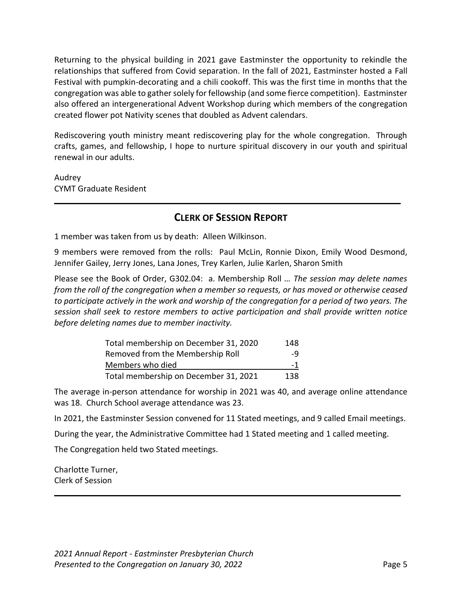Returning to the physical building in 2021 gave Eastminster the opportunity to rekindle the relationships that suffered from Covid separation. In the fall of 2021, Eastminster hosted a Fall Festival with pumpkin-decorating and a chili cookoff. This was the first time in months that the congregation was able to gather solely for fellowship (and some fierce competition). Eastminster also offered an intergenerational Advent Workshop during which members of the congregation created flower pot Nativity scenes that doubled as Advent calendars.

Rediscovering youth ministry meant rediscovering play for the whole congregation. Through crafts, games, and fellowship, I hope to nurture spiritual discovery in our youth and spiritual renewal in our adults.

Audrey CYMT Graduate Resident

## **CLERK OF SESSION REPORT**

1 member was taken from us by death: Alleen Wilkinson.

9 members were removed from the rolls: Paul McLin, Ronnie Dixon, Emily Wood Desmond, Jennifer Gailey, Jerry Jones, Lana Jones, Trey Karlen, Julie Karlen, Sharon Smith

Please see the Book of Order, G302.04: a. Membership Roll *… The session may delete names from the roll of the congregation when a member so requests, or has moved or otherwise ceased to participate actively in the work and worship of the congregation for a period of two years. The session shall seek to restore members to active participation and shall provide written notice before deleting names due to member inactivity.*

| Total membership on December 31, 2020 | 148  |
|---------------------------------------|------|
| Removed from the Membership Roll      | -9   |
| Members who died                      | $-1$ |
| Total membership on December 31, 2021 | 138  |

The average in-person attendance for worship in 2021 was 40, and average online attendance was 18. Church School average attendance was 23.

In 2021, the Eastminster Session convened for 11 Stated meetings, and 9 called Email meetings.

During the year, the Administrative Committee had 1 Stated meeting and 1 called meeting.

The Congregation held two Stated meetings.

Charlotte Turner, Clerk of Session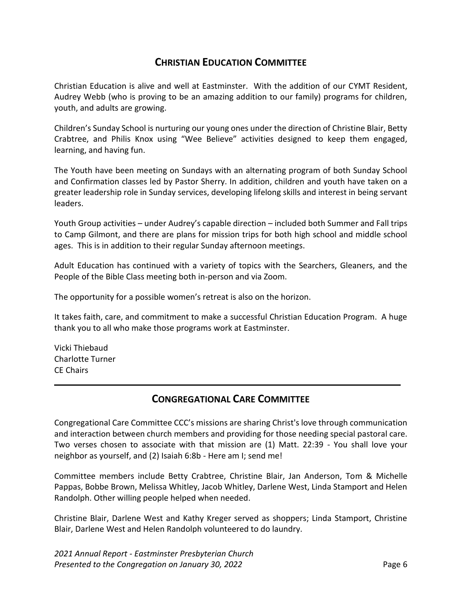## **CHRISTIAN EDUCATION COMMITTEE**

Christian Education is alive and well at Eastminster. With the addition of our CYMT Resident, Audrey Webb (who is proving to be an amazing addition to our family) programs for children, youth, and adults are growing.

Children's Sunday School is nurturing our young ones under the direction of Christine Blair, Betty Crabtree, and Philis Knox using "Wee Believe" activities designed to keep them engaged, learning, and having fun.

The Youth have been meeting on Sundays with an alternating program of both Sunday School and Confirmation classes led by Pastor Sherry. In addition, children and youth have taken on a greater leadership role in Sunday services, developing lifelong skills and interest in being servant leaders.

Youth Group activities – under Audrey's capable direction – included both Summer and Fall trips to Camp Gilmont, and there are plans for mission trips for both high school and middle school ages. This is in addition to their regular Sunday afternoon meetings.

Adult Education has continued with a variety of topics with the Searchers, Gleaners, and the People of the Bible Class meeting both in-person and via Zoom.

The opportunity for a possible women's retreat is also on the horizon.

It takes faith, care, and commitment to make a successful Christian Education Program. A huge thank you to all who make those programs work at Eastminster.

Vicki Thiebaud Charlotte Turner CE Chairs

## **CONGREGATIONAL CARE COMMITTEE**

Congregational Care Committee CCC's missions are sharing Christ's love through communication and interaction between church members and providing for those needing special pastoral care. Two verses chosen to associate with that mission are (1) Matt. 22:39 - You shall love your neighbor as yourself, and (2) Isaiah 6:8b - Here am I; send me!

Committee members include Betty Crabtree, Christine Blair, Jan Anderson, Tom & Michelle Pappas, Bobbe Brown, Melissa Whitley, Jacob Whitley, Darlene West, Linda Stamport and Helen Randolph. Other willing people helped when needed.

Christine Blair, Darlene West and Kathy Kreger served as shoppers; Linda Stamport, Christine Blair, Darlene West and Helen Randolph volunteered to do laundry.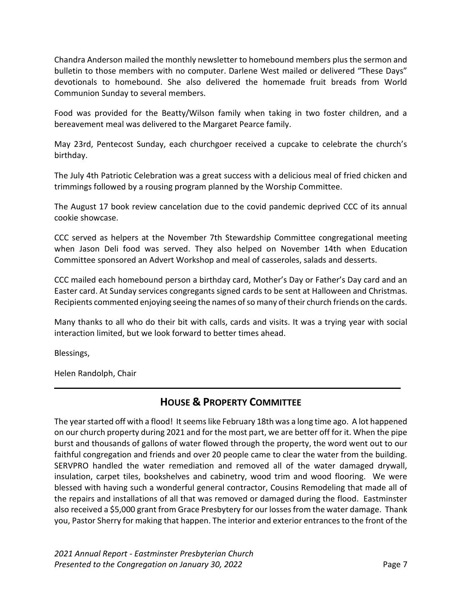Chandra Anderson mailed the monthly newsletter to homebound members plus the sermon and bulletin to those members with no computer. Darlene West mailed or delivered "These Days" devotionals to homebound. She also delivered the homemade fruit breads from World Communion Sunday to several members.

Food was provided for the Beatty/Wilson family when taking in two foster children, and a bereavement meal was delivered to the Margaret Pearce family.

May 23rd, Pentecost Sunday, each churchgoer received a cupcake to celebrate the church's birthday.

The July 4th Patriotic Celebration was a great success with a delicious meal of fried chicken and trimmings followed by a rousing program planned by the Worship Committee.

The August 17 book review cancelation due to the covid pandemic deprived CCC of its annual cookie showcase.

CCC served as helpers at the November 7th Stewardship Committee congregational meeting when Jason Deli food was served. They also helped on November 14th when Education Committee sponsored an Advert Workshop and meal of casseroles, salads and desserts.

CCC mailed each homebound person a birthday card, Mother's Day or Father's Day card and an Easter card. At Sunday services congregants signed cards to be sent at Halloween and Christmas. Recipients commented enjoying seeing the names of so many of their church friends on the cards.

Many thanks to all who do their bit with calls, cards and visits. It was a trying year with social interaction limited, but we look forward to better times ahead.

Blessings,

Helen Randolph, Chair

## **HOUSE & PROPERTY COMMITTEE**

The year started off with a flood! It seems like February 18th was a long time ago. A lot happened on our church property during 2021 and for the most part, we are better off for it. When the pipe burst and thousands of gallons of water flowed through the property, the word went out to our faithful congregation and friends and over 20 people came to clear the water from the building. SERVPRO handled the water remediation and removed all of the water damaged drywall, insulation, carpet tiles, bookshelves and cabinetry, wood trim and wood flooring. We were blessed with having such a wonderful general contractor, Cousins Remodeling that made all of the repairs and installations of all that was removed or damaged during the flood. Eastminster also received a \$5,000 grant from Grace Presbytery for our losses from the water damage. Thank you, Pastor Sherry for making that happen. The interior and exterior entrances to the front of the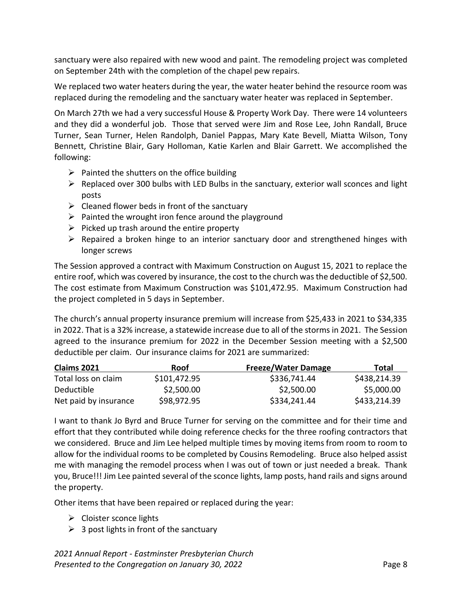sanctuary were also repaired with new wood and paint. The remodeling project was completed on September 24th with the completion of the chapel pew repairs.

We replaced two water heaters during the year, the water heater behind the resource room was replaced during the remodeling and the sanctuary water heater was replaced in September.

On March 27th we had a very successful House & Property Work Day. There were 14 volunteers and they did a wonderful job. Those that served were Jim and Rose Lee, John Randall, Bruce Turner, Sean Turner, Helen Randolph, Daniel Pappas, Mary Kate Bevell, Miatta Wilson, Tony Bennett, Christine Blair, Gary Holloman, Katie Karlen and Blair Garrett. We accomplished the following:

- $\triangleright$  Painted the shutters on the office building
- $\triangleright$  Replaced over 300 bulbs with LED Bulbs in the sanctuary, exterior wall sconces and light posts
- $\triangleright$  Cleaned flower beds in front of the sanctuary
- ➢ Painted the wrought iron fence around the playground
- $\triangleright$  Picked up trash around the entire property
- $\triangleright$  Repaired a broken hinge to an interior sanctuary door and strengthened hinges with longer screws

The Session approved a contract with Maximum Construction on August 15, 2021 to replace the entire roof, which was covered by insurance, the cost to the church was the deductible of \$2,500. The cost estimate from Maximum Construction was \$101,472.95. Maximum Construction had the project completed in 5 days in September.

The church's annual property insurance premium will increase from \$25,433 in 2021 to \$34,335 in 2022. That is a 32% increase, a statewide increase due to all of the storms in 2021. The Session agreed to the insurance premium for 2022 in the December Session meeting with a \$2,500 deductible per claim. Our insurance claims for 2021 are summarized:

| Claims 2021           | Roof         | <b>Freeze/Water Damage</b> | Total        |
|-----------------------|--------------|----------------------------|--------------|
| Total loss on claim   | \$101,472.95 | \$336,741.44               | \$438,214.39 |
| Deductible            | \$2,500.00   | \$2,500.00                 | \$5,000.00   |
| Net paid by insurance | \$98,972.95  | \$334,241.44               | \$433,214.39 |

I want to thank Jo Byrd and Bruce Turner for serving on the committee and for their time and effort that they contributed while doing reference checks for the three roofing contractors that we considered. Bruce and Jim Lee helped multiple times by moving items from room to room to allow for the individual rooms to be completed by Cousins Remodeling. Bruce also helped assist me with managing the remodel process when I was out of town or just needed a break. Thank you, Bruce!!! Jim Lee painted several of the sconce lights, lamp posts, hand rails and signs around the property.

Other items that have been repaired or replaced during the year:

- $\triangleright$  Cloister sconce lights
- $\triangleright$  3 post lights in front of the sanctuary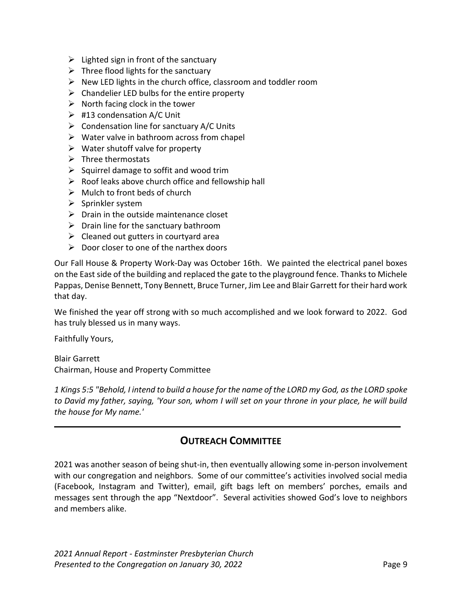- $\triangleright$  Lighted sign in front of the sanctuary
- $\triangleright$  Three flood lights for the sanctuary
- $\triangleright$  New LED lights in the church office, classroom and toddler room
- $\triangleright$  Chandelier LED bulbs for the entire property
- $\triangleright$  North facing clock in the tower
- $\triangleright$  #13 condensation A/C Unit
- $\triangleright$  Condensation line for sanctuary A/C Units
- $\triangleright$  Water valve in bathroom across from chapel
- $\triangleright$  Water shutoff valve for property
- $\triangleright$  Three thermostats
- $\triangleright$  Squirrel damage to soffit and wood trim
- $\triangleright$  Roof leaks above church office and fellowship hall
- $\triangleright$  Mulch to front beds of church
- ➢ Sprinkler system
- $\triangleright$  Drain in the outside maintenance closet
- $\triangleright$  Drain line for the sanctuary bathroom
- $\triangleright$  Cleaned out gutters in courtyard area
- $\triangleright$  Door closer to one of the narthex doors

Our Fall House & Property Work-Day was October 16th. We painted the electrical panel boxes on the East side of the building and replaced the gate to the playground fence. Thanks to Michele Pappas, Denise Bennett, Tony Bennett, Bruce Turner, Jim Lee and Blair Garrett for their hard work that day.

We finished the year off strong with so much accomplished and we look forward to 2022. God has truly blessed us in many ways.

Faithfully Yours,

Blair Garrett Chairman, House and Property Committee

*1 Kings 5:5 "Behold, I intend to build a house for the name of the LORD my God, as the LORD spoke to David my father, saying, 'Your son, whom I will set on your throne in your place, he will build the house for My name.'*

## **OUTREACH COMMITTEE**

2021 was another season of being shut-in, then eventually allowing some in-person involvement with our congregation and neighbors. Some of our committee's activities involved social media (Facebook, Instagram and Twitter), email, gift bags left on members' porches, emails and messages sent through the app "Nextdoor". Several activities showed God's love to neighbors and members alike.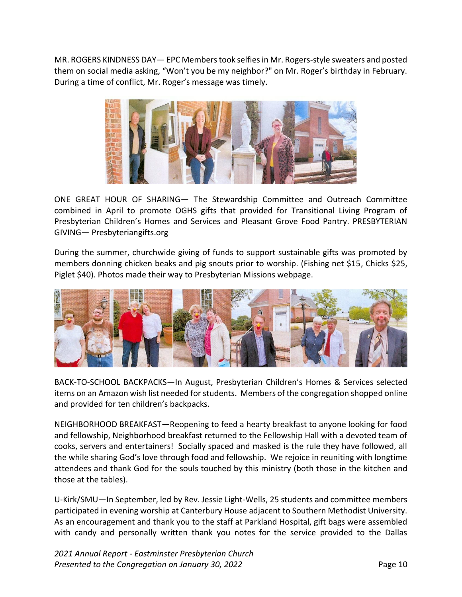MR. ROGERS KINDNESS DAY— EPC Members took selfies in Mr. Rogers-style sweaters and posted them on social media asking, "Won't you be my neighbor?" on Mr. Roger's birthday in February. During a time of conflict, Mr. Roger's message was timely.



ONE GREAT HOUR OF SHARING— The Stewardship Committee and Outreach Committee combined in April to promote OGHS gifts that provided for Transitional Living Program of Presbyterian Children's Homes and Services and Pleasant Grove Food Pantry. PRESBYTERIAN GIVING— Presbyteriangifts.org

During the summer, churchwide giving of funds to support sustainable gifts was promoted by members donning chicken beaks and pig snouts prior to worship. (Fishing net \$15, Chicks \$25, Piglet \$40). Photos made their way to Presbyterian Missions webpage.



BACK-TO-SCHOOL BACKPACKS—In August, Presbyterian Children's Homes & Services selected items on an Amazon wish list needed for students. Members of the congregation shopped online and provided for ten children's backpacks.

NEIGHBORHOOD BREAKFAST—Reopening to feed a hearty breakfast to anyone looking for food and fellowship, Neighborhood breakfast returned to the Fellowship Hall with a devoted team of cooks, servers and entertainers! Socially spaced and masked is the rule they have followed, all the while sharing God's love through food and fellowship. We rejoice in reuniting with longtime attendees and thank God for the souls touched by this ministry (both those in the kitchen and those at the tables).

U-Kirk/SMU—In September, led by Rev. Jessie Light-Wells, 25 students and committee members participated in evening worship at Canterbury House adjacent to Southern Methodist University. As an encouragement and thank you to the staff at Parkland Hospital, gift bags were assembled with candy and personally written thank you notes for the service provided to the Dallas

*2021 Annual Report - Eastminster Presbyterian Church Presented to the Congregation on January 30, 2022* Page 10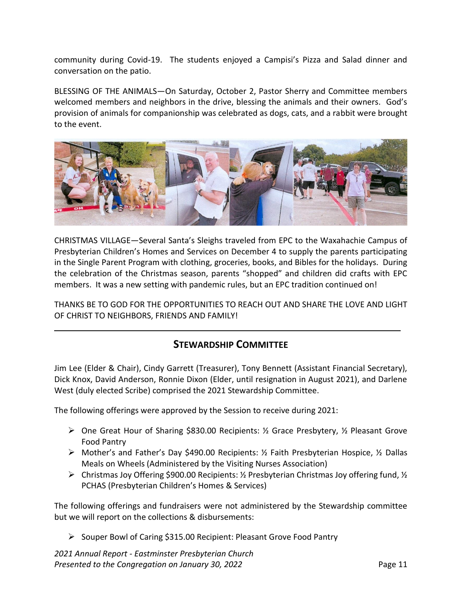community during Covid-19. The students enjoyed a Campisi's Pizza and Salad dinner and conversation on the patio.

BLESSING OF THE ANIMALS—On Saturday, October 2, Pastor Sherry and Committee members welcomed members and neighbors in the drive, blessing the animals and their owners. God's provision of animals for companionship was celebrated as dogs, cats, and a rabbit were brought to the event.



CHRISTMAS VILLAGE—Several Santa's Sleighs traveled from EPC to the Waxahachie Campus of Presbyterian Children's Homes and Services on December 4 to supply the parents participating in the Single Parent Program with clothing, groceries, books, and Bibles for the holidays. During the celebration of the Christmas season, parents "shopped" and children did crafts with EPC members. It was a new setting with pandemic rules, but an EPC tradition continued on!

THANKS BE TO GOD FOR THE OPPORTUNITIES TO REACH OUT AND SHARE THE LOVE AND LIGHT OF CHRIST TO NEIGHBORS, FRIENDS AND FAMILY!

## **STEWARDSHIP COMMITTEE**

Jim Lee (Elder & Chair), Cindy Garrett (Treasurer), Tony Bennett (Assistant Financial Secretary), Dick Knox, David Anderson, Ronnie Dixon (Elder, until resignation in August 2021), and Darlene West (duly elected Scribe) comprised the 2021 Stewardship Committee.

The following offerings were approved by the Session to receive during 2021:

- ➢ One Great Hour of Sharing \$830.00 Recipients: ½ Grace Presbytery, ½ Pleasant Grove Food Pantry
- $\triangleright$  Mother's and Father's Day \$490.00 Recipients: ½ Faith Presbyterian Hospice, ½ Dallas Meals on Wheels (Administered by the Visiting Nurses Association)
- $\triangleright$  Christmas Joy Offering \$900.00 Recipients: ½ Presbyterian Christmas Joy offering fund, ½ PCHAS (Presbyterian Children's Homes & Services)

The following offerings and fundraisers were not administered by the Stewardship committee but we will report on the collections & disbursements:

➢ Souper Bowl of Caring \$315.00 Recipient: Pleasant Grove Food Pantry

*2021 Annual Report - Eastminster Presbyterian Church Presented to the Congregation on January 30, 2022* Page 11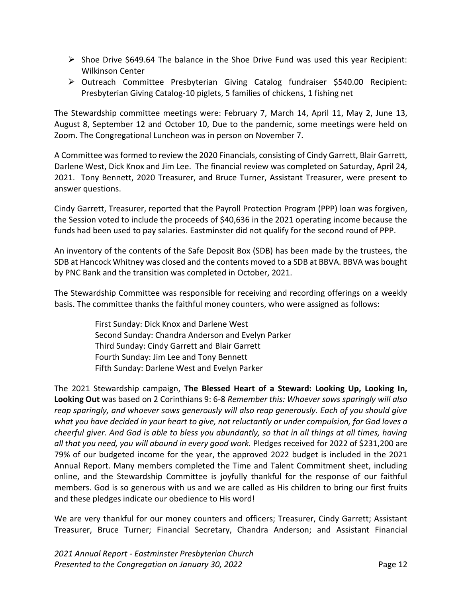- $\triangleright$  Shoe Drive \$649.64 The balance in the Shoe Drive Fund was used this year Recipient: Wilkinson Center
- ➢ Outreach Committee Presbyterian Giving Catalog fundraiser \$540.00 Recipient: Presbyterian Giving Catalog-10 piglets, 5 families of chickens, 1 fishing net

The Stewardship committee meetings were: February 7, March 14, April 11, May 2, June 13, August 8, September 12 and October 10, Due to the pandemic, some meetings were held on Zoom. The Congregational Luncheon was in person on November 7.

A Committee was formed to review the 2020 Financials, consisting of Cindy Garrett, Blair Garrett, Darlene West, Dick Knox and Jim Lee. The financial review was completed on Saturday, April 24, 2021. Tony Bennett, 2020 Treasurer, and Bruce Turner, Assistant Treasurer, were present to answer questions.

Cindy Garrett, Treasurer, reported that the Payroll Protection Program (PPP) loan was forgiven, the Session voted to include the proceeds of \$40,636 in the 2021 operating income because the funds had been used to pay salaries. Eastminster did not qualify for the second round of PPP.

An inventory of the contents of the Safe Deposit Box (SDB) has been made by the trustees, the SDB at Hancock Whitney was closed and the contents moved to a SDB at BBVA. BBVA was bought by PNC Bank and the transition was completed in October, 2021.

The Stewardship Committee was responsible for receiving and recording offerings on a weekly basis. The committee thanks the faithful money counters, who were assigned as follows:

> First Sunday: Dick Knox and Darlene West Second Sunday: Chandra Anderson and Evelyn Parker Third Sunday: Cindy Garrett and Blair Garrett Fourth Sunday: Jim Lee and Tony Bennett Fifth Sunday: Darlene West and Evelyn Parker

The 2021 Stewardship campaign, **The Blessed Heart of a Steward: Looking Up, Looking In, Looking Out** was based on 2 Corinthians 9: 6-8 *Remember this: Whoever sows sparingly will also reap sparingly, and whoever sows generously will also reap generously. Each of you should give what you have decided in your heart to give, not reluctantly or under compulsion, for God loves a cheerful giver. And God is able to bless you abundantly, so that in all things at all times, having all that you need, you will abound in every good work.* Pledges received for 2022 of \$231,200 are 79% of our budgeted income for the year, the approved 2022 budget is included in the 2021 Annual Report. Many members completed the Time and Talent Commitment sheet, including online, and the Stewardship Committee is joyfully thankful for the response of our faithful members. God is so generous with us and we are called as His children to bring our first fruits and these pledges indicate our obedience to His word!

We are very thankful for our money counters and officers; Treasurer, Cindy Garrett; Assistant Treasurer, Bruce Turner; Financial Secretary, Chandra Anderson; and Assistant Financial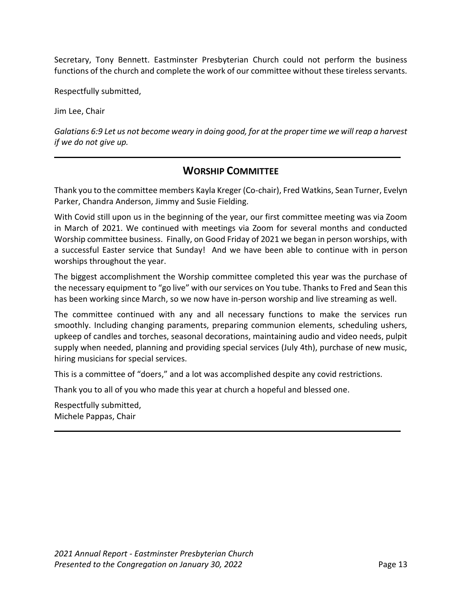Secretary, Tony Bennett. Eastminster Presbyterian Church could not perform the business functions of the church and complete the work of our committee without these tireless servants.

Respectfully submitted,

Jim Lee, Chair

*Galatians 6:9 Let us not become weary in doing good, for at the proper time we will reap a harvest if we do not give up.*

## **WORSHIP COMMITTEE**

Thank you to the committee members Kayla Kreger (Co-chair), Fred Watkins, Sean Turner, Evelyn Parker, Chandra Anderson, Jimmy and Susie Fielding.

With Covid still upon us in the beginning of the year, our first committee meeting was via Zoom in March of 2021. We continued with meetings via Zoom for several months and conducted Worship committee business. Finally, on Good Friday of 2021 we began in person worships, with a successful Easter service that Sunday! And we have been able to continue with in person worships throughout the year.

The biggest accomplishment the Worship committee completed this year was the purchase of the necessary equipment to "go live" with our services on You tube. Thanks to Fred and Sean this has been working since March, so we now have in-person worship and live streaming as well.

The committee continued with any and all necessary functions to make the services run smoothly. Including changing paraments, preparing communion elements, scheduling ushers, upkeep of candles and torches, seasonal decorations, maintaining audio and video needs, pulpit supply when needed, planning and providing special services (July 4th), purchase of new music, hiring musicians for special services.

This is a committee of "doers," and a lot was accomplished despite any covid restrictions.

Thank you to all of you who made this year at church a hopeful and blessed one.

Respectfully submitted, Michele Pappas, Chair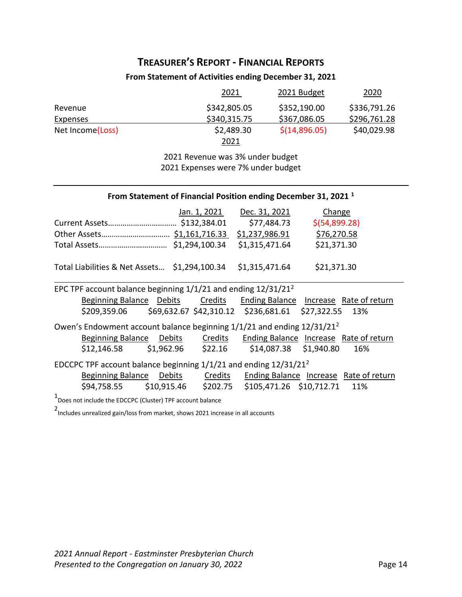## **TREASURER'S REPORT - FINANCIAL REPORTS**

#### **From Statement of Activities ending December 31, 2021**

|                  | <u> 2021</u> | 2021 Budget   | <u> 2020</u> |
|------------------|--------------|---------------|--------------|
| Revenue          | \$342,805.05 | \$352,190.00  | \$336,791.26 |
| Expenses         | \$340,315.75 | \$367,086.05  | \$296,761.28 |
| Net Income(Loss) | \$2,489.30   | \$(14,896.05) | \$40,029.98  |
|                  | 2021         |               |              |

2021 Revenue was 3% under budget

2021 Expenses were 7% under budget

#### **From Statement of Financial Position ending December 31, 2021 <sup>1</sup>**

|                                                                              | Jan. 1, 2021   | Dec. 31, 2021<br>\$77,484.73<br>\$1,237,986.91   | Change<br>\$ (54, 899.28)<br>\$76,270.58 |  |  |
|------------------------------------------------------------------------------|----------------|--------------------------------------------------|------------------------------------------|--|--|
|                                                                              |                | \$1,315,471.64                                   | \$21,371.30                              |  |  |
| Total Liabilities & Net Assets                                               | \$1,294,100.34 | \$1,315,471.64                                   | \$21,371.30                              |  |  |
| EPC TPF account balance beginning $1/1/21$ and ending $12/31/212$            |                |                                                  |                                          |  |  |
| <b>Beginning Balance</b> Debits                                              | Credits        |                                                  | Ending Balance Increase Rate of return   |  |  |
| \$209,359.06                                                                 |                | \$69,632.67 \$42,310.12 \$236,681.61 \$27,322.55 | 13%                                      |  |  |
| Owen's Endowment account balance beginning $1/1/21$ and ending $12/31/21^2$  |                |                                                  |                                          |  |  |
| <b>Beginning Balance Debits</b>                                              | Credits        |                                                  | Ending Balance Increase Rate of return   |  |  |
| \$1,962.96<br>\$12,146.58                                                    | \$22.16        | \$14,087.38 \$1,940.80                           | 16%                                      |  |  |
| EDCCPC TPF account balance beginning 1/1/21 and ending 12/31/21 <sup>2</sup> |                |                                                  |                                          |  |  |
| <b>Beginning Balance</b><br>Debits                                           | Credits        |                                                  | Ending Balance Increase Rate of return   |  |  |
| \$94,758.55 \$10,915.46 \$202.75 \$105,471.26 \$10,712.71 11%                |                |                                                  |                                          |  |  |
| 1Does not include the EDCCPC (Cluster) TPF account balance                   |                |                                                  |                                          |  |  |

2 Includes unrealized gain/loss from market, shows 2021 increase in all accounts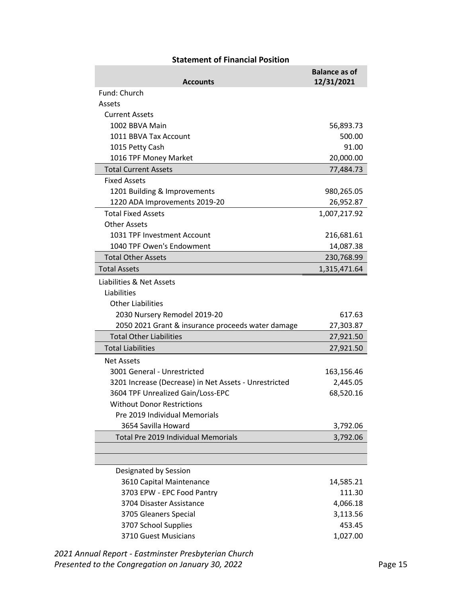| Statchicht VI i Mantial Fosition                      | <b>Balance as of</b> |
|-------------------------------------------------------|----------------------|
| <b>Accounts</b>                                       | 12/31/2021           |
| Fund: Church                                          |                      |
| Assets                                                |                      |
| <b>Current Assets</b>                                 |                      |
| 1002 BBVA Main                                        | 56,893.73            |
| 1011 BBVA Tax Account                                 | 500.00               |
| 1015 Petty Cash                                       | 91.00                |
| 1016 TPF Money Market                                 | 20,000.00            |
| <b>Total Current Assets</b>                           | 77,484.73            |
| <b>Fixed Assets</b>                                   |                      |
| 1201 Building & Improvements                          | 980,265.05           |
| 1220 ADA Improvements 2019-20                         | 26,952.87            |
| <b>Total Fixed Assets</b>                             | 1,007,217.92         |
| <b>Other Assets</b>                                   |                      |
| 1031 TPF Investment Account                           | 216,681.61           |
| 1040 TPF Owen's Endowment                             | 14,087.38            |
| <b>Total Other Assets</b>                             | 230,768.99           |
| <b>Total Assets</b>                                   | 1,315,471.64         |
| Liabilities & Net Assets                              |                      |
| Liabilities                                           |                      |
| <b>Other Liabilities</b>                              |                      |
| 2030 Nursery Remodel 2019-20                          | 617.63               |
| 2050 2021 Grant & insurance proceeds water damage     | 27,303.87            |
| <b>Total Other Liabilities</b>                        | 27,921.50            |
| <b>Total Liabilities</b>                              | 27,921.50            |
| Net Assets                                            |                      |
| 3001 General - Unrestricted                           | 163,156.46           |
| 3201 Increase (Decrease) in Net Assets - Unrestricted | 2,445.05             |
| 3604 TPF Unrealized Gain/Loss-EPC                     | 68,520.16            |
| <b>Without Donor Restrictions</b>                     |                      |
| Pre 2019 Individual Memorials                         |                      |
| 3654 Savilla Howard                                   | 3,792.06             |
| <b>Total Pre 2019 Individual Memorials</b>            | 3,792.06             |
|                                                       |                      |
|                                                       |                      |
| Designated by Session                                 |                      |
| 3610 Capital Maintenance                              | 14,585.21            |
| 3703 EPW - EPC Food Pantry                            | 111.30               |
| 3704 Disaster Assistance                              | 4,066.18             |
| 3705 Gleaners Special                                 | 3,113.56             |
| 3707 School Supplies                                  | 453.45               |
| 3710 Guest Musicians                                  | 1,027.00             |

#### **Statement of Financial Position**

*2021 Annual Report - Eastminster Presbyterian Church* Presented to the Congregation on January 30, 2022 **Page 15** Page 15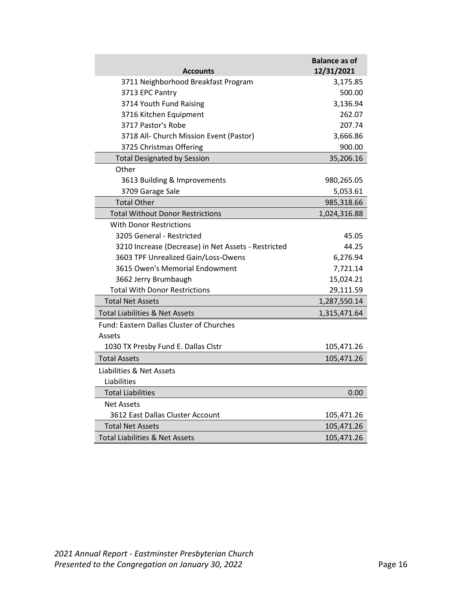| <b>Accounts</b>                                     | <b>Balance as of</b><br>12/31/2021 |
|-----------------------------------------------------|------------------------------------|
| 3711 Neighborhood Breakfast Program                 | 3,175.85                           |
| 3713 EPC Pantry                                     | 500.00                             |
| 3714 Youth Fund Raising                             | 3,136.94                           |
| 3716 Kitchen Equipment                              | 262.07                             |
| 3717 Pastor's Robe                                  | 207.74                             |
| 3718 All- Church Mission Event (Pastor)             | 3,666.86                           |
| 3725 Christmas Offering                             | 900.00                             |
| <b>Total Designated by Session</b>                  | 35,206.16                          |
| Other                                               |                                    |
| 3613 Building & Improvements                        | 980,265.05                         |
| 3709 Garage Sale                                    | 5,053.61                           |
| <b>Total Other</b>                                  | 985,318.66                         |
| <b>Total Without Donor Restrictions</b>             | 1,024,316.88                       |
| <b>With Donor Restrictions</b>                      |                                    |
| 3205 General - Restricted                           | 45.05                              |
| 3210 Increase (Decrease) in Net Assets - Restricted | 44.25                              |
| 3603 TPF Unrealized Gain/Loss-Owens                 | 6,276.94                           |
| 3615 Owen's Memorial Endowment                      | 7,721.14                           |
| 3662 Jerry Brumbaugh                                | 15,024.21                          |
| <b>Total With Donor Restrictions</b>                | 29,111.59                          |
| <b>Total Net Assets</b>                             | 1,287,550.14                       |
| <b>Total Liabilities &amp; Net Assets</b>           | 1,315,471.64                       |
| Fund: Eastern Dallas Cluster of Churches            |                                    |
| Assets                                              |                                    |
| 1030 TX Presby Fund E. Dallas Clstr                 | 105,471.26                         |
| <b>Total Assets</b>                                 | 105,471.26                         |
| Liabilities & Net Assets                            |                                    |
| Liabilities                                         |                                    |
| <b>Total Liabilities</b>                            | 0.00                               |
| <b>Net Assets</b>                                   |                                    |
| 3612 East Dallas Cluster Account                    | 105,471.26                         |
| <b>Total Net Assets</b>                             | 105,471.26                         |
| <b>Total Liabilities &amp; Net Assets</b>           | 105,471.26                         |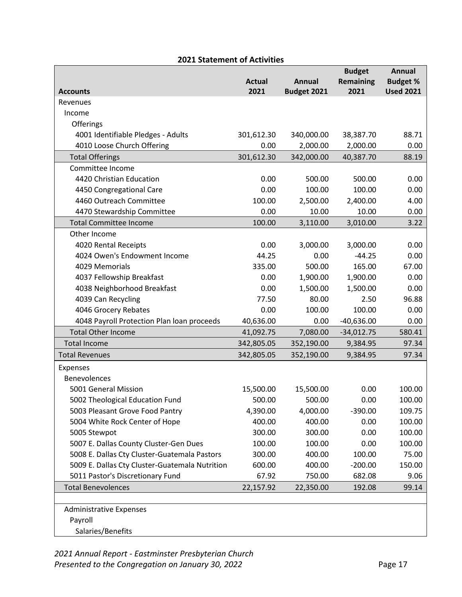|                                                |                       |                       | <b>Budget</b>            | Annual                              |
|------------------------------------------------|-----------------------|-----------------------|--------------------------|-------------------------------------|
| <b>Accounts</b>                                | <b>Actual</b><br>2021 | Annual<br>Budget 2021 | <b>Remaining</b><br>2021 | <b>Budget %</b><br><b>Used 2021</b> |
| Revenues                                       |                       |                       |                          |                                     |
| Income                                         |                       |                       |                          |                                     |
| Offerings                                      |                       |                       |                          |                                     |
| 4001 Identifiable Pledges - Adults             | 301,612.30            | 340,000.00            | 38,387.70                | 88.71                               |
| 4010 Loose Church Offering                     | 0.00                  | 2,000.00              | 2,000.00                 | 0.00                                |
| <b>Total Offerings</b>                         | 301,612.30            | 342,000.00            | 40,387.70                | 88.19                               |
| Committee Income                               |                       |                       |                          |                                     |
| 4420 Christian Education                       | 0.00                  | 500.00                | 500.00                   | 0.00                                |
| 4450 Congregational Care                       | 0.00                  | 100.00                | 100.00                   | 0.00                                |
| 4460 Outreach Committee                        | 100.00                | 2,500.00              | 2,400.00                 | 4.00                                |
| 4470 Stewardship Committee                     | 0.00                  | 10.00                 | 10.00                    | 0.00                                |
| <b>Total Committee Income</b>                  | 100.00                | 3,110.00              | 3,010.00                 | 3.22                                |
| Other Income                                   |                       |                       |                          |                                     |
| 4020 Rental Receipts                           | 0.00                  | 3,000.00              | 3,000.00                 | 0.00                                |
| 4024 Owen's Endowment Income                   | 44.25                 | 0.00                  | $-44.25$                 | 0.00                                |
| 4029 Memorials                                 | 335.00                | 500.00                | 165.00                   | 67.00                               |
| 4037 Fellowship Breakfast                      | 0.00                  | 1,900.00              | 1,900.00                 | 0.00                                |
| 4038 Neighborhood Breakfast                    | 0.00                  | 1,500.00              | 1,500.00                 | 0.00                                |
| 4039 Can Recycling                             | 77.50                 | 80.00                 | 2.50                     | 96.88                               |
| 4046 Grocery Rebates                           | 0.00                  | 100.00                | 100.00                   | 0.00                                |
| 4048 Payroll Protection Plan loan proceeds     | 40,636.00             | 0.00                  | $-40,636.00$             | 0.00                                |
| <b>Total Other Income</b>                      | 41,092.75             | 7,080.00              | $-34,012.75$             | 580.41                              |
| <b>Total Income</b>                            | 342,805.05            | 352,190.00            | 9,384.95                 | 97.34                               |
| <b>Total Revenues</b>                          | 342,805.05            | 352,190.00            | 9,384.95                 | 97.34                               |
| Expenses                                       |                       |                       |                          |                                     |
| <b>Benevolences</b>                            |                       |                       |                          |                                     |
| 5001 General Mission                           | 15,500.00             | 15,500.00             | 0.00                     | 100.00                              |
| 5002 Theological Education Fund                | 500.00                | 500.00                | 0.00                     | 100.00                              |
| 5003 Pleasant Grove Food Pantry                | 4,390.00              | 4,000.00              | $-390.00$                | 109.75                              |
| 5004 White Rock Center of Hope                 | 400.00                | 400.00                | 0.00                     | 100.00                              |
| 5005 Stewpot                                   | 300.00                | 300.00                | 0.00                     | 100.00                              |
| 5007 E. Dallas County Cluster-Gen Dues         | 100.00                | 100.00                | 0.00                     | 100.00                              |
| 5008 E. Dallas Cty Cluster-Guatemala Pastors   | 300.00                | 400.00                | 100.00                   | 75.00                               |
| 5009 E. Dallas Cty Cluster-Guatemala Nutrition | 600.00                | 400.00                | $-200.00$                | 150.00                              |
| 5011 Pastor's Discretionary Fund               | 67.92                 | 750.00                | 682.08                   | 9.06                                |
| <b>Total Benevolences</b>                      | 22,157.92             | 22,350.00             | 192.08                   | 99.14                               |
|                                                |                       |                       |                          |                                     |
| <b>Administrative Expenses</b>                 |                       |                       |                          |                                     |
| Payroll                                        |                       |                       |                          |                                     |
| Salaries/Benefits                              |                       |                       |                          |                                     |

#### **2021 Statement of Activities**

*2021 Annual Report - Eastminster Presbyterian Church* Presented to the Congregation on January 30, 2022 **Page 17** Page 17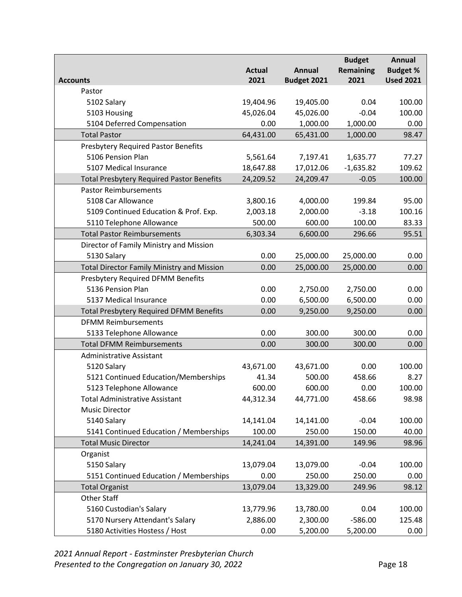|                                                   | <b>Actual</b> | Annual      | <b>Budget</b><br><b>Remaining</b> | <b>Annual</b><br><b>Budget %</b> |
|---------------------------------------------------|---------------|-------------|-----------------------------------|----------------------------------|
| <b>Accounts</b>                                   | 2021          | Budget 2021 | 2021                              | <b>Used 2021</b>                 |
| Pastor                                            |               |             |                                   |                                  |
| 5102 Salary                                       | 19,404.96     | 19,405.00   | 0.04                              | 100.00                           |
| 5103 Housing                                      | 45,026.04     | 45,026.00   | $-0.04$                           | 100.00                           |
| 5104 Deferred Compensation                        | 0.00          | 1,000.00    | 1,000.00                          | 0.00                             |
| <b>Total Pastor</b>                               | 64,431.00     | 65,431.00   | 1,000.00                          | 98.47                            |
| <b>Presbytery Required Pastor Benefits</b>        |               |             |                                   |                                  |
| 5106 Pension Plan                                 | 5,561.64      | 7,197.41    | 1,635.77                          | 77.27                            |
| 5107 Medical Insurance                            | 18,647.88     | 17,012.06   | $-1,635.82$                       | 109.62                           |
| <b>Total Presbytery Required Pastor Benefits</b>  | 24,209.52     | 24,209.47   | $-0.05$                           | 100.00                           |
| <b>Pastor Reimbursements</b>                      |               |             |                                   |                                  |
| 5108 Car Allowance                                | 3,800.16      | 4,000.00    | 199.84                            | 95.00                            |
| 5109 Continued Education & Prof. Exp.             | 2,003.18      | 2,000.00    | $-3.18$                           | 100.16                           |
| 5110 Telephone Allowance                          | 500.00        | 600.00      | 100.00                            | 83.33                            |
| <b>Total Pastor Reimbursements</b>                | 6,303.34      | 6,600.00    | 296.66                            | 95.51                            |
| Director of Family Ministry and Mission           |               |             |                                   |                                  |
| 5130 Salary                                       | 0.00          | 25,000.00   | 25,000.00                         | 0.00                             |
| <b>Total Director Family Ministry and Mission</b> | 0.00          | 25,000.00   | 25,000.00                         | 0.00                             |
| <b>Presbytery Required DFMM Benefits</b>          |               |             |                                   |                                  |
| 5136 Pension Plan                                 | 0.00          | 2,750.00    | 2,750.00                          | 0.00                             |
| 5137 Medical Insurance                            | 0.00          | 6,500.00    | 6,500.00                          | 0.00                             |
| <b>Total Presbytery Required DFMM Benefits</b>    | 0.00          | 9,250.00    | 9,250.00                          | 0.00                             |
| <b>DFMM Reimbursements</b>                        |               |             |                                   |                                  |
| 5133 Telephone Allowance                          | 0.00          | 300.00      | 300.00                            | 0.00                             |
| <b>Total DFMM Reimbursements</b>                  | 0.00          | 300.00      | 300.00                            | 0.00                             |
| <b>Administrative Assistant</b>                   |               |             |                                   |                                  |
| 5120 Salary                                       | 43,671.00     | 43,671.00   | 0.00                              | 100.00                           |
| 5121 Continued Education/Memberships              | 41.34         | 500.00      | 458.66                            | 8.27                             |
| 5123 Telephone Allowance                          | 600.00        | 600.00      | 0.00                              | 100.00                           |
| <b>Total Administrative Assistant</b>             | 44,312.34     | 44,771.00   | 458.66                            | 98.98                            |
| <b>Music Director</b>                             |               |             |                                   |                                  |
| 5140 Salary                                       | 14,141.04     | 14,141.00   | $-0.04$                           | 100.00                           |
| 5141 Continued Education / Memberships            | 100.00        | 250.00      | 150.00                            | 40.00                            |
| <b>Total Music Director</b>                       | 14,241.04     | 14,391.00   | 149.96                            | 98.96                            |
| Organist                                          |               |             |                                   |                                  |
| 5150 Salary                                       | 13,079.04     | 13,079.00   | $-0.04$                           | 100.00                           |
| 5151 Continued Education / Memberships            | 0.00          | 250.00      | 250.00                            | 0.00                             |
| <b>Total Organist</b>                             | 13,079.04     | 13,329.00   | 249.96                            | 98.12                            |
| Other Staff                                       |               |             |                                   |                                  |
| 5160 Custodian's Salary                           | 13,779.96     | 13,780.00   | 0.04                              | 100.00                           |
| 5170 Nursery Attendant's Salary                   | 2,886.00      | 2,300.00    | $-586.00$                         | 125.48                           |
| 5180 Activities Hostess / Host                    | 0.00          | 5,200.00    | 5,200.00                          | 0.00                             |

*2021 Annual Report - Eastminster Presbyterian Church* Presented to the Congregation on January 30, 2022 **Page 18** Page 18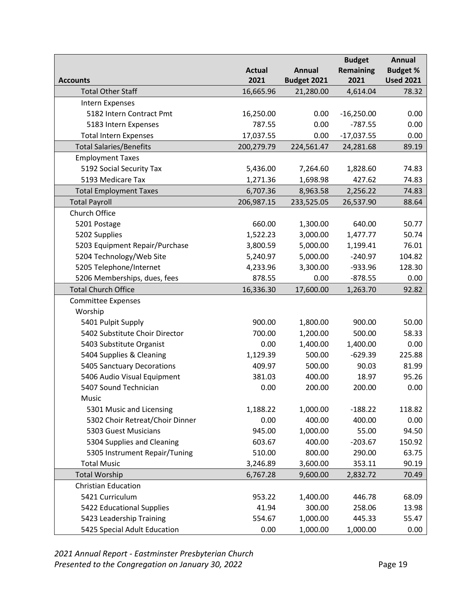|                                 |                       |                              | <b>Budget</b>            | Annual                              |
|---------------------------------|-----------------------|------------------------------|--------------------------|-------------------------------------|
| <b>Accounts</b>                 | <b>Actual</b><br>2021 | <b>Annual</b><br>Budget 2021 | <b>Remaining</b><br>2021 | <b>Budget %</b><br><b>Used 2021</b> |
| <b>Total Other Staff</b>        | 16,665.96             | 21,280.00                    | 4,614.04                 | 78.32                               |
| Intern Expenses                 |                       |                              |                          |                                     |
| 5182 Intern Contract Pmt        | 16,250.00             | 0.00                         | $-16,250.00$             | 0.00                                |
| 5183 Intern Expenses            | 787.55                | 0.00                         | $-787.55$                | 0.00                                |
| <b>Total Intern Expenses</b>    | 17,037.55             | 0.00                         | $-17,037.55$             | 0.00                                |
| <b>Total Salaries/Benefits</b>  | 200,279.79            | 224,561.47                   | 24,281.68                | 89.19                               |
| <b>Employment Taxes</b>         |                       |                              |                          |                                     |
| 5192 Social Security Tax        | 5,436.00              | 7,264.60                     | 1,828.60                 | 74.83                               |
| 5193 Medicare Tax               | 1,271.36              | 1,698.98                     | 427.62                   | 74.83                               |
| <b>Total Employment Taxes</b>   | 6,707.36              | 8,963.58                     | 2,256.22                 | 74.83                               |
| <b>Total Payroll</b>            | 206,987.15            | 233,525.05                   | 26,537.90                | 88.64                               |
| Church Office                   |                       |                              |                          |                                     |
| 5201 Postage                    | 660.00                | 1,300.00                     | 640.00                   | 50.77                               |
| 5202 Supplies                   | 1,522.23              | 3,000.00                     | 1,477.77                 | 50.74                               |
| 5203 Equipment Repair/Purchase  | 3,800.59              | 5,000.00                     | 1,199.41                 | 76.01                               |
| 5204 Technology/Web Site        | 5,240.97              | 5,000.00                     | $-240.97$                | 104.82                              |
| 5205 Telephone/Internet         | 4,233.96              | 3,300.00                     | -933.96                  | 128.30                              |
| 5206 Memberships, dues, fees    | 878.55                | 0.00                         | $-878.55$                | 0.00                                |
| <b>Total Church Office</b>      | 16,336.30             | 17,600.00                    | 1,263.70                 | 92.82                               |
| <b>Committee Expenses</b>       |                       |                              |                          |                                     |
| Worship                         |                       |                              |                          |                                     |
| 5401 Pulpit Supply              | 900.00                | 1,800.00                     | 900.00                   | 50.00                               |
| 5402 Substitute Choir Director  | 700.00                | 1,200.00                     | 500.00                   | 58.33                               |
| 5403 Substitute Organist        | 0.00                  | 1,400.00                     | 1,400.00                 | 0.00                                |
| 5404 Supplies & Cleaning        | 1,129.39              | 500.00                       | $-629.39$                | 225.88                              |
| 5405 Sanctuary Decorations      | 409.97                | 500.00                       | 90.03                    | 81.99                               |
| 5406 Audio Visual Equipment     | 381.03                | 400.00                       | 18.97                    | 95.26                               |
| 5407 Sound Technician           | 0.00                  | 200.00                       | 200.00                   | 0.00                                |
| Music                           |                       |                              |                          |                                     |
| 5301 Music and Licensing        | 1,188.22              | 1,000.00                     | $-188.22$                | 118.82                              |
| 5302 Choir Retreat/Choir Dinner | 0.00                  | 400.00                       | 400.00                   | 0.00                                |
| 5303 Guest Musicians            | 945.00                | 1,000.00                     | 55.00                    | 94.50                               |
| 5304 Supplies and Cleaning      | 603.67                | 400.00                       | $-203.67$                | 150.92                              |
| 5305 Instrument Repair/Tuning   | 510.00                | 800.00                       | 290.00                   | 63.75                               |
| <b>Total Music</b>              | 3,246.89              | 3,600.00                     | 353.11                   | 90.19                               |
| <b>Total Worship</b>            | 6,767.28              | 9,600.00                     | 2,832.72                 | 70.49                               |
| <b>Christian Education</b>      |                       |                              |                          |                                     |
| 5421 Curriculum                 | 953.22                | 1,400.00                     | 446.78                   | 68.09                               |
| 5422 Educational Supplies       | 41.94                 | 300.00                       | 258.06                   | 13.98                               |
| 5423 Leadership Training        | 554.67                | 1,000.00                     | 445.33                   | 55.47                               |
| 5425 Special Adult Education    | 0.00                  | 1,000.00                     | 1,000.00                 | 0.00                                |

*2021 Annual Report - Eastminster Presbyterian Church* Presented to the Congregation on January 30, 2022 **Page 19** Page 19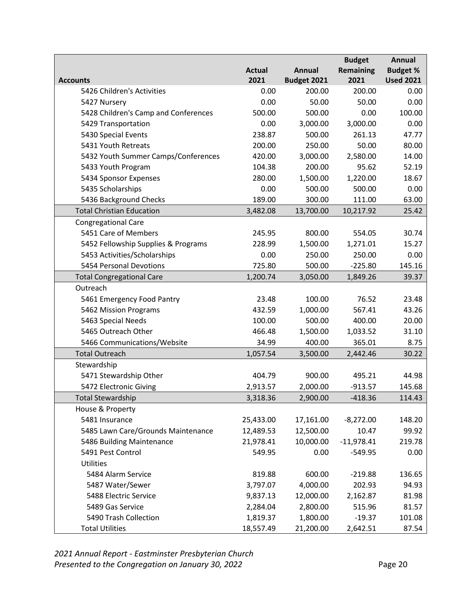|                                      |               |               | <b>Budget</b>    | Annual           |
|--------------------------------------|---------------|---------------|------------------|------------------|
|                                      | <b>Actual</b> | <b>Annual</b> | <b>Remaining</b> | <b>Budget %</b>  |
| <b>Accounts</b>                      | 2021          | Budget 2021   | 2021             | <b>Used 2021</b> |
| 5426 Children's Activities           | 0.00          | 200.00        | 200.00           | 0.00             |
| 5427 Nursery                         | 0.00          | 50.00         | 50.00            | 0.00             |
| 5428 Children's Camp and Conferences | 500.00        | 500.00        | 0.00             | 100.00           |
| 5429 Transportation                  | 0.00          | 3,000.00      | 3,000.00         | 0.00             |
| 5430 Special Events                  | 238.87        | 500.00        | 261.13           | 47.77            |
| 5431 Youth Retreats                  | 200.00        | 250.00        | 50.00            | 80.00            |
| 5432 Youth Summer Camps/Conferences  | 420.00        | 3,000.00      | 2,580.00         | 14.00            |
| 5433 Youth Program                   | 104.38        | 200.00        | 95.62            | 52.19            |
| 5434 Sponsor Expenses                | 280.00        | 1,500.00      | 1,220.00         | 18.67            |
| 5435 Scholarships                    | 0.00          | 500.00        | 500.00           | 0.00             |
| 5436 Background Checks               | 189.00        | 300.00        | 111.00           | 63.00            |
| <b>Total Christian Education</b>     | 3,482.08      | 13,700.00     | 10,217.92        | 25.42            |
| <b>Congregational Care</b>           |               |               |                  |                  |
| 5451 Care of Members                 | 245.95        | 800.00        | 554.05           | 30.74            |
| 5452 Fellowship Supplies & Programs  | 228.99        | 1,500.00      | 1,271.01         | 15.27            |
| 5453 Activities/Scholarships         | 0.00          | 250.00        | 250.00           | 0.00             |
| 5454 Personal Devotions              | 725.80        | 500.00        | $-225.80$        | 145.16           |
| <b>Total Congregational Care</b>     | 1,200.74      | 3,050.00      | 1,849.26         | 39.37            |
| Outreach                             |               |               |                  |                  |
| 5461 Emergency Food Pantry           | 23.48         | 100.00        | 76.52            | 23.48            |
| 5462 Mission Programs                | 432.59        | 1,000.00      | 567.41           | 43.26            |
| 5463 Special Needs                   | 100.00        | 500.00        | 400.00           | 20.00            |
| 5465 Outreach Other                  | 466.48        | 1,500.00      | 1,033.52         | 31.10            |
| 5466 Communications/Website          | 34.99         | 400.00        | 365.01           | 8.75             |
| <b>Total Outreach</b>                | 1,057.54      | 3,500.00      | 2,442.46         | 30.22            |
| Stewardship                          |               |               |                  |                  |
| 5471 Stewardship Other               | 404.79        | 900.00        | 495.21           | 44.98            |
| 5472 Electronic Giving               | 2,913.57      | 2,000.00      | $-913.57$        | 145.68           |
| <b>Total Stewardship</b>             | 3,318.36      | 2,900.00      | $-418.36$        | 114.43           |
| House & Property                     |               |               |                  |                  |
| 5481 Insurance                       | 25,433.00     | 17,161.00     | $-8,272.00$      | 148.20           |
| 5485 Lawn Care/Grounds Maintenance   | 12,489.53     | 12,500.00     | 10.47            | 99.92            |
| 5486 Building Maintenance            | 21,978.41     | 10,000.00     | $-11,978.41$     | 219.78           |
| 5491 Pest Control                    | 549.95        | 0.00          | $-549.95$        | 0.00             |
| <b>Utilities</b>                     |               |               |                  |                  |
| 5484 Alarm Service                   | 819.88        | 600.00        | $-219.88$        | 136.65           |
| 5487 Water/Sewer                     | 3,797.07      | 4,000.00      | 202.93           | 94.93            |
| 5488 Electric Service                | 9,837.13      | 12,000.00     | 2,162.87         | 81.98            |
| 5489 Gas Service                     | 2,284.04      | 2,800.00      | 515.96           | 81.57            |
| 5490 Trash Collection                | 1,819.37      | 1,800.00      | $-19.37$         | 101.08           |
| <b>Total Utilities</b>               | 18,557.49     | 21,200.00     | 2,642.51         | 87.54            |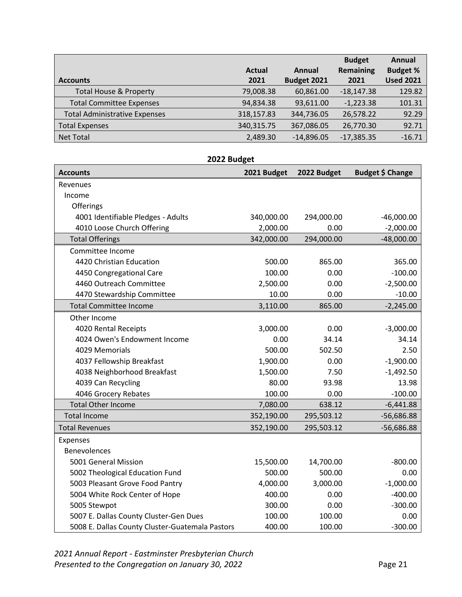|                                      |              |              | <b>Budget</b> | Annual           |
|--------------------------------------|--------------|--------------|---------------|------------------|
|                                      | Actual       | Annual       | Remaining     | <b>Budget %</b>  |
| <b>Accounts</b>                      | 2021         | Budget 2021  | 2021          | <b>Used 2021</b> |
| <b>Total House &amp; Property</b>    | 79,008.38    | 60,861.00    | $-18,147.38$  | 129.82           |
| <b>Total Committee Expenses</b>      | 94,834.38    | 93,611.00    | $-1,223.38$   | 101.31           |
| <b>Total Administrative Expenses</b> | 318,157.83   | 344,736.05   | 26,578.22     | 92.29            |
| <b>Total Expenses</b>                | 340, 315. 75 | 367,086.05   | 26,770.30     | 92.71            |
| <b>Net Total</b>                     | 2,489.30     | $-14,896.05$ | $-17,385.35$  | $-16.71$         |

| 2022 Budget                                     |             |             |                         |  |  |
|-------------------------------------------------|-------------|-------------|-------------------------|--|--|
| <b>Accounts</b>                                 | 2021 Budget | 2022 Budget | <b>Budget \$ Change</b> |  |  |
| Revenues                                        |             |             |                         |  |  |
| Income                                          |             |             |                         |  |  |
| Offerings                                       |             |             |                         |  |  |
| 4001 Identifiable Pledges - Adults              | 340,000.00  | 294,000.00  | $-46,000.00$            |  |  |
| 4010 Loose Church Offering                      | 2,000.00    | 0.00        | $-2,000.00$             |  |  |
| <b>Total Offerings</b>                          | 342,000.00  | 294,000.00  | $-48,000.00$            |  |  |
| Committee Income                                |             |             |                         |  |  |
| 4420 Christian Education                        | 500.00      | 865.00      | 365.00                  |  |  |
| 4450 Congregational Care                        | 100.00      | 0.00        | $-100.00$               |  |  |
| 4460 Outreach Committee                         | 2,500.00    | 0.00        | $-2,500.00$             |  |  |
| 4470 Stewardship Committee                      | 10.00       | 0.00        | $-10.00$                |  |  |
| <b>Total Committee Income</b>                   | 3,110.00    | 865.00      | $-2,245.00$             |  |  |
| Other Income                                    |             |             |                         |  |  |
| 4020 Rental Receipts                            | 3,000.00    | 0.00        | $-3,000.00$             |  |  |
| 4024 Owen's Endowment Income                    | 0.00        | 34.14       | 34.14                   |  |  |
| 4029 Memorials                                  | 500.00      | 502.50      | 2.50                    |  |  |
| 4037 Fellowship Breakfast                       | 1,900.00    | 0.00        | $-1,900.00$             |  |  |
| 4038 Neighborhood Breakfast                     | 1,500.00    | 7.50        | $-1,492.50$             |  |  |
| 4039 Can Recycling                              | 80.00       | 93.98       | 13.98                   |  |  |
| 4046 Grocery Rebates                            | 100.00      | 0.00        | $-100.00$               |  |  |
| <b>Total Other Income</b>                       | 7,080.00    | 638.12      | $-6,441.88$             |  |  |
| <b>Total Income</b>                             | 352,190.00  | 295,503.12  | $-56,686.88$            |  |  |
| <b>Total Revenues</b>                           | 352,190.00  | 295,503.12  | $-56,686.88$            |  |  |
| Expenses                                        |             |             |                         |  |  |
| Benevolences                                    |             |             |                         |  |  |
| 5001 General Mission                            | 15,500.00   | 14,700.00   | $-800.00$               |  |  |
| 5002 Theological Education Fund                 | 500.00      | 500.00      | 0.00                    |  |  |
| 5003 Pleasant Grove Food Pantry                 | 4,000.00    | 3,000.00    | $-1,000.00$             |  |  |
| 5004 White Rock Center of Hope                  | 400.00      | 0.00        | $-400.00$               |  |  |
| 5005 Stewpot                                    | 300.00      | 0.00        | $-300.00$               |  |  |
| 5007 E. Dallas County Cluster-Gen Dues          | 100.00      | 100.00      | 0.00                    |  |  |
| 5008 E. Dallas County Cluster-Guatemala Pastors | 400.00      | 100.00      | $-300.00$               |  |  |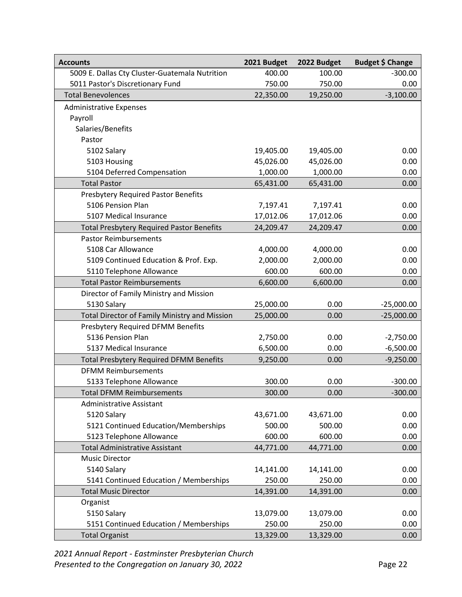| <b>Accounts</b>                                      | 2021 Budget | 2022 Budget | <b>Budget \$ Change</b> |
|------------------------------------------------------|-------------|-------------|-------------------------|
| 5009 E. Dallas Cty Cluster-Guatemala Nutrition       | 400.00      | 100.00      | $-300.00$               |
| 5011 Pastor's Discretionary Fund                     | 750.00      | 750.00      | 0.00                    |
| <b>Total Benevolences</b>                            | 22,350.00   | 19,250.00   | $-3,100.00$             |
| <b>Administrative Expenses</b>                       |             |             |                         |
| Payroll                                              |             |             |                         |
| Salaries/Benefits                                    |             |             |                         |
| Pastor                                               |             |             |                         |
| 5102 Salary                                          | 19,405.00   | 19,405.00   | 0.00                    |
| 5103 Housing                                         | 45,026.00   | 45,026.00   | 0.00                    |
| 5104 Deferred Compensation                           | 1,000.00    | 1,000.00    | 0.00                    |
| <b>Total Pastor</b>                                  | 65,431.00   | 65,431.00   | 0.00                    |
| <b>Presbytery Required Pastor Benefits</b>           |             |             |                         |
| 5106 Pension Plan                                    | 7,197.41    | 7,197.41    | 0.00                    |
| 5107 Medical Insurance                               | 17,012.06   | 17,012.06   | 0.00                    |
| <b>Total Presbytery Required Pastor Benefits</b>     | 24,209.47   | 24,209.47   | 0.00                    |
| <b>Pastor Reimbursements</b>                         |             |             |                         |
| 5108 Car Allowance                                   | 4,000.00    | 4,000.00    | 0.00                    |
| 5109 Continued Education & Prof. Exp.                | 2,000.00    | 2,000.00    | 0.00                    |
| 5110 Telephone Allowance                             | 600.00      | 600.00      | 0.00                    |
| <b>Total Pastor Reimbursements</b>                   | 6,600.00    | 6,600.00    | 0.00                    |
| Director of Family Ministry and Mission              |             |             |                         |
| 5130 Salary                                          | 25,000.00   | 0.00        | $-25,000.00$            |
| <b>Total Director of Family Ministry and Mission</b> | 25,000.00   | 0.00        | $-25,000.00$            |
| Presbytery Required DFMM Benefits                    |             |             |                         |
| 5136 Pension Plan                                    | 2,750.00    | 0.00        | $-2,750.00$             |
| 5137 Medical Insurance                               | 6,500.00    | 0.00        | $-6,500.00$             |
| <b>Total Presbytery Required DFMM Benefits</b>       | 9,250.00    | 0.00        | $-9,250.00$             |
| <b>DFMM Reimbursements</b>                           |             |             |                         |
| 5133 Telephone Allowance                             | 300.00      | 0.00        | $-300.00$               |
| <b>Total DFMM Reimbursements</b>                     | 300.00      | 0.00        | $-300.00$               |
| <b>Administrative Assistant</b>                      |             |             |                         |
| 5120 Salary                                          | 43,671.00   | 43,671.00   | 0.00                    |
| 5121 Continued Education/Memberships                 | 500.00      | 500.00      | 0.00                    |
| 5123 Telephone Allowance                             | 600.00      | 600.00      | 0.00                    |
| <b>Total Administrative Assistant</b>                | 44,771.00   | 44,771.00   | 0.00                    |
| <b>Music Director</b>                                |             |             |                         |
| 5140 Salary                                          | 14,141.00   | 14,141.00   | 0.00                    |
| 5141 Continued Education / Memberships               | 250.00      | 250.00      | 0.00                    |
| <b>Total Music Director</b>                          | 14,391.00   | 14,391.00   | 0.00                    |
| Organist                                             |             |             |                         |
| 5150 Salary                                          | 13,079.00   | 13,079.00   | 0.00                    |
| 5151 Continued Education / Memberships               | 250.00      | 250.00      | 0.00                    |
| <b>Total Organist</b>                                | 13,329.00   | 13,329.00   | 0.00                    |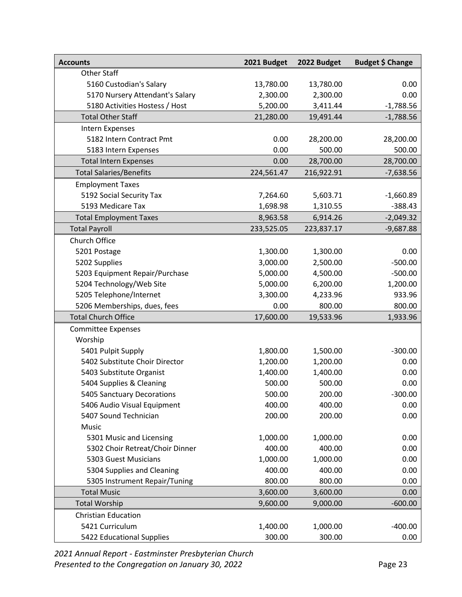| <b>Accounts</b>                 | 2021 Budget | 2022 Budget | <b>Budget \$ Change</b> |
|---------------------------------|-------------|-------------|-------------------------|
| <b>Other Staff</b>              |             |             |                         |
| 5160 Custodian's Salary         | 13,780.00   | 13,780.00   | 0.00                    |
| 5170 Nursery Attendant's Salary | 2,300.00    | 2,300.00    | 0.00                    |
| 5180 Activities Hostess / Host  | 5,200.00    | 3,411.44    | $-1,788.56$             |
| <b>Total Other Staff</b>        | 21,280.00   | 19,491.44   | $-1,788.56$             |
| Intern Expenses                 |             |             |                         |
| 5182 Intern Contract Pmt        | 0.00        | 28,200.00   | 28,200.00               |
| 5183 Intern Expenses            | 0.00        | 500.00      | 500.00                  |
| <b>Total Intern Expenses</b>    | 0.00        | 28,700.00   | 28,700.00               |
| <b>Total Salaries/Benefits</b>  | 224,561.47  | 216,922.91  | $-7,638.56$             |
| <b>Employment Taxes</b>         |             |             |                         |
| 5192 Social Security Tax        | 7,264.60    | 5,603.71    | $-1,660.89$             |
| 5193 Medicare Tax               | 1,698.98    | 1,310.55    | $-388.43$               |
| <b>Total Employment Taxes</b>   | 8,963.58    | 6,914.26    | $-2,049.32$             |
| <b>Total Payroll</b>            | 233,525.05  | 223,837.17  | $-9,687.88$             |
| Church Office                   |             |             |                         |
| 5201 Postage                    | 1,300.00    | 1,300.00    | 0.00                    |
| 5202 Supplies                   | 3,000.00    | 2,500.00    | $-500.00$               |
| 5203 Equipment Repair/Purchase  | 5,000.00    | 4,500.00    | $-500.00$               |
| 5204 Technology/Web Site        | 5,000.00    | 6,200.00    | 1,200.00                |
| 5205 Telephone/Internet         | 3,300.00    | 4,233.96    | 933.96                  |
| 5206 Memberships, dues, fees    | 0.00        | 800.00      | 800.00                  |
| <b>Total Church Office</b>      | 17,600.00   | 19,533.96   | 1,933.96                |
| <b>Committee Expenses</b>       |             |             |                         |
| Worship                         |             |             |                         |
| 5401 Pulpit Supply              | 1,800.00    | 1,500.00    | $-300.00$               |
| 5402 Substitute Choir Director  | 1,200.00    | 1,200.00    | 0.00                    |
| 5403 Substitute Organist        | 1,400.00    | 1,400.00    | 0.00                    |
| 5404 Supplies & Cleaning        | 500.00      | 500.00      | 0.00                    |
| 5405 Sanctuary Decorations      | 500.00      | 200.00      | $-300.00$               |
| 5406 Audio Visual Equipment     | 400.00      | 400.00      | 0.00                    |
| 5407 Sound Technician           | 200.00      | 200.00      | 0.00                    |
| Music                           |             |             |                         |
| 5301 Music and Licensing        | 1,000.00    | 1,000.00    | 0.00                    |
| 5302 Choir Retreat/Choir Dinner | 400.00      | 400.00      | 0.00                    |
| 5303 Guest Musicians            | 1,000.00    | 1,000.00    | 0.00                    |
| 5304 Supplies and Cleaning      | 400.00      | 400.00      | 0.00                    |
| 5305 Instrument Repair/Tuning   | 800.00      | 800.00      | 0.00                    |
| <b>Total Music</b>              | 3,600.00    | 3,600.00    | 0.00                    |
| <b>Total Worship</b>            | 9,600.00    | 9,000.00    | $-600.00$               |
| <b>Christian Education</b>      |             |             |                         |
| 5421 Curriculum                 | 1,400.00    | 1,000.00    | $-400.00$               |
| 5422 Educational Supplies       | 300.00      | 300.00      | 0.00                    |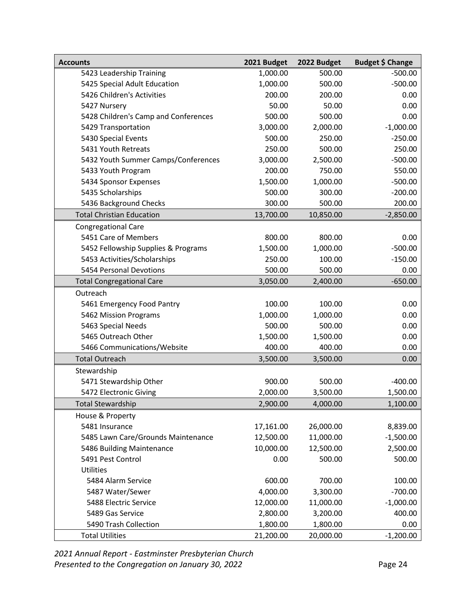| <b>Accounts</b>                      | 2021 Budget | 2022 Budget | <b>Budget \$ Change</b> |
|--------------------------------------|-------------|-------------|-------------------------|
| 5423 Leadership Training             | 1,000.00    | 500.00      | $-500.00$               |
| 5425 Special Adult Education         | 1,000.00    | 500.00      | $-500.00$               |
| 5426 Children's Activities           | 200.00      | 200.00      | 0.00                    |
| 5427 Nursery                         | 50.00       | 50.00       | 0.00                    |
| 5428 Children's Camp and Conferences | 500.00      | 500.00      | 0.00                    |
| 5429 Transportation                  | 3,000.00    | 2,000.00    | $-1,000.00$             |
| 5430 Special Events                  | 500.00      | 250.00      | $-250.00$               |
| 5431 Youth Retreats                  | 250.00      | 500.00      | 250.00                  |
| 5432 Youth Summer Camps/Conferences  | 3,000.00    | 2,500.00    | $-500.00$               |
| 5433 Youth Program                   | 200.00      | 750.00      | 550.00                  |
| 5434 Sponsor Expenses                | 1,500.00    | 1,000.00    | $-500.00$               |
| 5435 Scholarships                    | 500.00      | 300.00      | $-200.00$               |
| 5436 Background Checks               | 300.00      | 500.00      | 200.00                  |
| <b>Total Christian Education</b>     | 13,700.00   | 10,850.00   | $-2,850.00$             |
| <b>Congregational Care</b>           |             |             |                         |
| 5451 Care of Members                 | 800.00      | 800.00      | 0.00                    |
| 5452 Fellowship Supplies & Programs  | 1,500.00    | 1,000.00    | $-500.00$               |
| 5453 Activities/Scholarships         | 250.00      | 100.00      | $-150.00$               |
| 5454 Personal Devotions              | 500.00      | 500.00      | 0.00                    |
| <b>Total Congregational Care</b>     | 3,050.00    | 2,400.00    | $-650.00$               |
| Outreach                             |             |             |                         |
| 5461 Emergency Food Pantry           | 100.00      | 100.00      | 0.00                    |
| 5462 Mission Programs                | 1,000.00    | 1,000.00    | 0.00                    |
| 5463 Special Needs                   | 500.00      | 500.00      | 0.00                    |
| 5465 Outreach Other                  | 1,500.00    | 1,500.00    | 0.00                    |
| 5466 Communications/Website          | 400.00      | 400.00      | 0.00                    |
| <b>Total Outreach</b>                | 3,500.00    | 3,500.00    | 0.00                    |
| Stewardship                          |             |             |                         |
| 5471 Stewardship Other               | 900.00      | 500.00      | $-400.00$               |
| 5472 Electronic Giving               | 2,000.00    | 3,500.00    | 1,500.00                |
| <b>Total Stewardship</b>             | 2,900.00    | 4,000.00    | 1,100.00                |
| House & Property                     |             |             |                         |
| 5481 Insurance                       | 17,161.00   | 26,000.00   | 8,839.00                |
| 5485 Lawn Care/Grounds Maintenance   | 12,500.00   | 11,000.00   | $-1,500.00$             |
| 5486 Building Maintenance            | 10,000.00   | 12,500.00   | 2,500.00                |
| 5491 Pest Control                    | 0.00        | 500.00      | 500.00                  |
| Utilities                            |             |             |                         |
| 5484 Alarm Service                   | 600.00      | 700.00      | 100.00                  |
| 5487 Water/Sewer                     | 4,000.00    | 3,300.00    | $-700.00$               |
| 5488 Electric Service                | 12,000.00   | 11,000.00   | $-1,000.00$             |
| 5489 Gas Service                     | 2,800.00    | 3,200.00    | 400.00                  |
| 5490 Trash Collection                | 1,800.00    | 1,800.00    | 0.00                    |
| <b>Total Utilities</b>               | 21,200.00   | 20,000.00   | $-1,200.00$             |

*2021 Annual Report - Eastminster Presbyterian Church* Presented to the Congregation on January 30, 2022 **Page 24** Page 24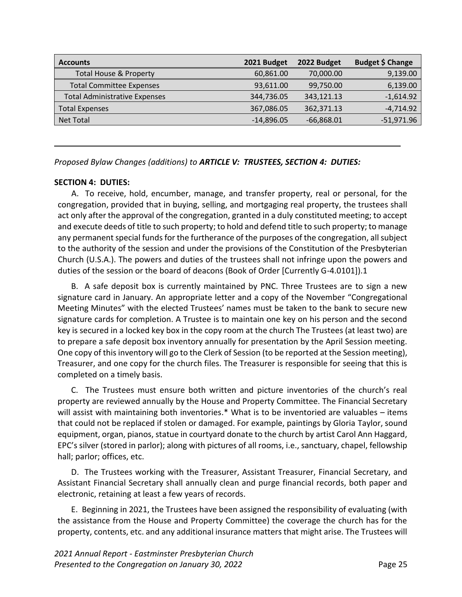| <b>Accounts</b>                      | 2021 Budget  | 2022 Budget  | Budget \$ Change |
|--------------------------------------|--------------|--------------|------------------|
| <b>Total House &amp; Property</b>    | 60,861.00    | 70,000.00    | 9,139.00         |
| <b>Total Committee Expenses</b>      | 93,611.00    | 99,750.00    | 6,139.00         |
| <b>Total Administrative Expenses</b> | 344,736.05   | 343,121.13   | $-1,614.92$      |
| <b>Total Expenses</b>                | 367,086.05   | 362,371.13   | $-4,714.92$      |
| <b>Net Total</b>                     | $-14,896.05$ | $-66,868.01$ | $-51,971.96$     |
|                                      |              |              |                  |

*Proposed Bylaw Changes (additions) to ARTICLE V: TRUSTEES, SECTION 4: DUTIES:*

#### **SECTION 4: DUTIES:**

A. To receive, hold, encumber, manage, and transfer property, real or personal, for the congregation, provided that in buying, selling, and mortgaging real property, the trustees shall act only after the approval of the congregation, granted in a duly constituted meeting; to accept and execute deeds of title to such property; to hold and defend title to such property; to manage any permanent special funds for the furtherance of the purposes of the congregation, all subject to the authority of the session and under the provisions of the Constitution of the Presbyterian Church (U.S.A.). The powers and duties of the trustees shall not infringe upon the powers and duties of the session or the board of deacons (Book of Order [Currently G-4.0101]).1

B. A safe deposit box is currently maintained by PNC. Three Trustees are to sign a new signature card in January. An appropriate letter and a copy of the November "Congregational Meeting Minutes" with the elected Trustees' names must be taken to the bank to secure new signature cards for completion. A Trustee is to maintain one key on his person and the second key is secured in a locked key box in the copy room at the church The Trustees (at least two) are to prepare a safe deposit box inventory annually for presentation by the April Session meeting. One copy of this inventory will go to the Clerk of Session (to be reported at the Session meeting), Treasurer, and one copy for the church files. The Treasurer is responsible for seeing that this is completed on a timely basis.

C. The Trustees must ensure both written and picture inventories of the church's real property are reviewed annually by the House and Property Committee. The Financial Secretary will assist with maintaining both inventories.\* What is to be inventoried are valuables – items that could not be replaced if stolen or damaged. For example, paintings by Gloria Taylor, sound equipment, organ, pianos, statue in courtyard donate to the church by artist Carol Ann Haggard, EPC's silver (stored in parlor); along with pictures of all rooms, i.e., sanctuary, chapel, fellowship hall; parlor; offices, etc.

D. The Trustees working with the Treasurer, Assistant Treasurer, Financial Secretary, and Assistant Financial Secretary shall annually clean and purge financial records, both paper and electronic, retaining at least a few years of records.

E. Beginning in 2021, the Trustees have been assigned the responsibility of evaluating (with the assistance from the House and Property Committee) the coverage the church has for the property, contents, etc. and any additional insurance matters that might arise. The Trustees will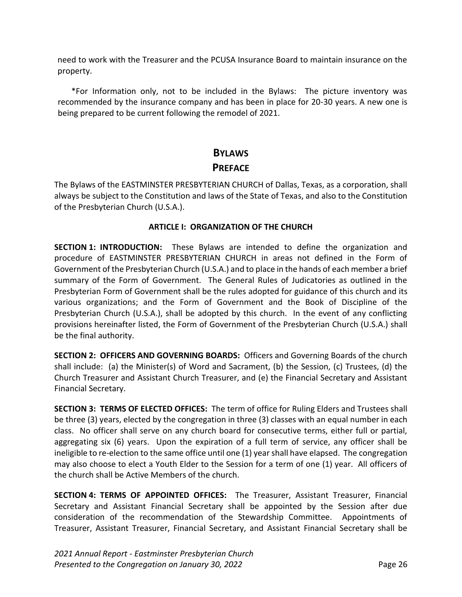need to work with the Treasurer and the PCUSA Insurance Board to maintain insurance on the property.

\*For Information only, not to be included in the Bylaws: The picture inventory was recommended by the insurance company and has been in place for 20-30 years. A new one is being prepared to be current following the remodel of 2021.

## **BYLAWS PREFACE**

The Bylaws of the EASTMINSTER PRESBYTERIAN CHURCH of Dallas, Texas, as a corporation, shall always be subject to the Constitution and laws of the State of Texas, and also to the Constitution of the Presbyterian Church (U.S.A.).

#### **ARTICLE I: ORGANIZATION OF THE CHURCH**

**SECTION 1: INTRODUCTION:** These Bylaws are intended to define the organization and procedure of EASTMINSTER PRESBYTERIAN CHURCH in areas not defined in the Form of Government of the Presbyterian Church (U.S.A.) and to place in the hands of each member a brief summary of the Form of Government. The General Rules of Judicatories as outlined in the Presbyterian Form of Government shall be the rules adopted for guidance of this church and its various organizations; and the Form of Government and the Book of Discipline of the Presbyterian Church (U.S.A.), shall be adopted by this church. In the event of any conflicting provisions hereinafter listed, the Form of Government of the Presbyterian Church (U.S.A.) shall be the final authority.

**SECTION 2: OFFICERS AND GOVERNING BOARDS:** Officers and Governing Boards of the church shall include: (a) the Minister(s) of Word and Sacrament, (b) the Session, (c) Trustees, (d) the Church Treasurer and Assistant Church Treasurer, and (e) the Financial Secretary and Assistant Financial Secretary.

**SECTION 3: TERMS OF ELECTED OFFICES:** The term of office for Ruling Elders and Trustees shall be three (3) years, elected by the congregation in three (3) classes with an equal number in each class. No officer shall serve on any church board for consecutive terms, either full or partial, aggregating six (6) years. Upon the expiration of a full term of service, any officer shall be ineligible to re-election to the same office until one (1) year shall have elapsed. The congregation may also choose to elect a Youth Elder to the Session for a term of one (1) year. All officers of the church shall be Active Members of the church.

**SECTION 4: TERMS OF APPOINTED OFFICES:** The Treasurer, Assistant Treasurer, Financial Secretary and Assistant Financial Secretary shall be appointed by the Session after due consideration of the recommendation of the Stewardship Committee. Appointments of Treasurer, Assistant Treasurer, Financial Secretary, and Assistant Financial Secretary shall be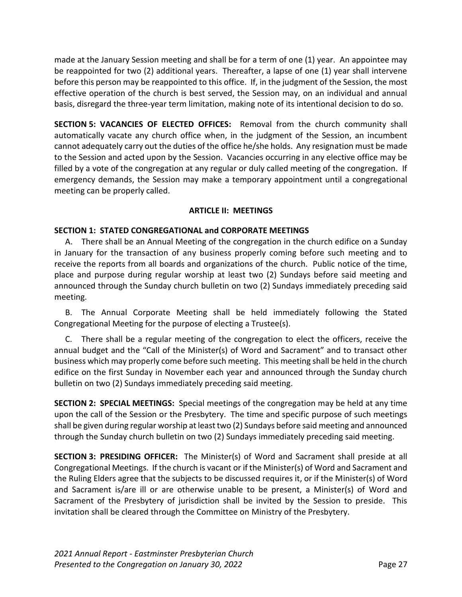made at the January Session meeting and shall be for a term of one (1) year. An appointee may be reappointed for two (2) additional years. Thereafter, a lapse of one (1) year shall intervene before this person may be reappointed to this office. If, in the judgment of the Session, the most effective operation of the church is best served, the Session may, on an individual and annual basis, disregard the three-year term limitation, making note of its intentional decision to do so.

**SECTION 5: VACANCIES OF ELECTED OFFICES:** Removal from the church community shall automatically vacate any church office when, in the judgment of the Session, an incumbent cannot adequately carry out the duties of the office he/she holds. Any resignation must be made to the Session and acted upon by the Session. Vacancies occurring in any elective office may be filled by a vote of the congregation at any regular or duly called meeting of the congregation. If emergency demands, the Session may make a temporary appointment until a congregational meeting can be properly called.

#### **ARTICLE II: MEETINGS**

#### **SECTION 1: STATED CONGREGATIONAL and CORPORATE MEETINGS**

A. There shall be an Annual Meeting of the congregation in the church edifice on a Sunday in January for the transaction of any business properly coming before such meeting and to receive the reports from all boards and organizations of the church. Public notice of the time, place and purpose during regular worship at least two (2) Sundays before said meeting and announced through the Sunday church bulletin on two (2) Sundays immediately preceding said meeting.

B. The Annual Corporate Meeting shall be held immediately following the Stated Congregational Meeting for the purpose of electing a Trustee(s).

C. There shall be a regular meeting of the congregation to elect the officers, receive the annual budget and the "Call of the Minister(s) of Word and Sacrament" and to transact other business which may properly come before such meeting. This meeting shall be held in the church edifice on the first Sunday in November each year and announced through the Sunday church bulletin on two (2) Sundays immediately preceding said meeting.

**SECTION 2: SPECIAL MEETINGS:** Special meetings of the congregation may be held at any time upon the call of the Session or the Presbytery. The time and specific purpose of such meetings shall be given during regular worship at least two (2) Sundays before said meeting and announced through the Sunday church bulletin on two (2) Sundays immediately preceding said meeting.

**SECTION 3: PRESIDING OFFICER:** The Minister(s) of Word and Sacrament shall preside at all Congregational Meetings. If the church is vacant or if the Minister(s) of Word and Sacrament and the Ruling Elders agree that the subjects to be discussed requires it, or if the Minister(s) of Word and Sacrament is/are ill or are otherwise unable to be present, a Minister(s) of Word and Sacrament of the Presbytery of jurisdiction shall be invited by the Session to preside. This invitation shall be cleared through the Committee on Ministry of the Presbytery.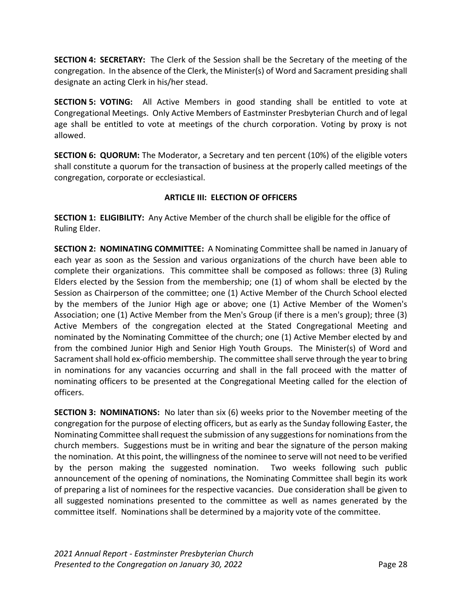**SECTION 4: SECRETARY:** The Clerk of the Session shall be the Secretary of the meeting of the congregation. In the absence of the Clerk, the Minister(s) of Word and Sacrament presiding shall designate an acting Clerk in his/her stead.

**SECTION 5: VOTING:** All Active Members in good standing shall be entitled to vote at Congregational Meetings. Only Active Members of Eastminster Presbyterian Church and of legal age shall be entitled to vote at meetings of the church corporation. Voting by proxy is not allowed.

**SECTION 6: QUORUM:** The Moderator, a Secretary and ten percent (10%) of the eligible voters shall constitute a quorum for the transaction of business at the properly called meetings of the congregation, corporate or ecclesiastical.

#### **ARTICLE III: ELECTION OF OFFICERS**

**SECTION 1: ELIGIBILITY:** Any Active Member of the church shall be eligible for the office of Ruling Elder.

**SECTION 2: NOMINATING COMMITTEE:** A Nominating Committee shall be named in January of each year as soon as the Session and various organizations of the church have been able to complete their organizations. This committee shall be composed as follows: three (3) Ruling Elders elected by the Session from the membership; one (1) of whom shall be elected by the Session as Chairperson of the committee; one (1) Active Member of the Church School elected by the members of the Junior High age or above; one (1) Active Member of the Women's Association; one (1) Active Member from the Men's Group (if there is a men's group); three (3) Active Members of the congregation elected at the Stated Congregational Meeting and nominated by the Nominating Committee of the church; one (1) Active Member elected by and from the combined Junior High and Senior High Youth Groups. The Minister(s) of Word and Sacrament shall hold ex-officio membership. The committee shall serve through the year to bring in nominations for any vacancies occurring and shall in the fall proceed with the matter of nominating officers to be presented at the Congregational Meeting called for the election of officers.

**SECTION 3: NOMINATIONS:** No later than six (6) weeks prior to the November meeting of the congregation for the purpose of electing officers, but as early as the Sunday following Easter, the Nominating Committee shall request the submission of any suggestions for nominations from the church members. Suggestions must be in writing and bear the signature of the person making the nomination. At this point, the willingness of the nominee to serve will not need to be verified by the person making the suggested nomination. Two weeks following such public announcement of the opening of nominations, the Nominating Committee shall begin its work of preparing a list of nominees for the respective vacancies. Due consideration shall be given to all suggested nominations presented to the committee as well as names generated by the committee itself. Nominations shall be determined by a majority vote of the committee.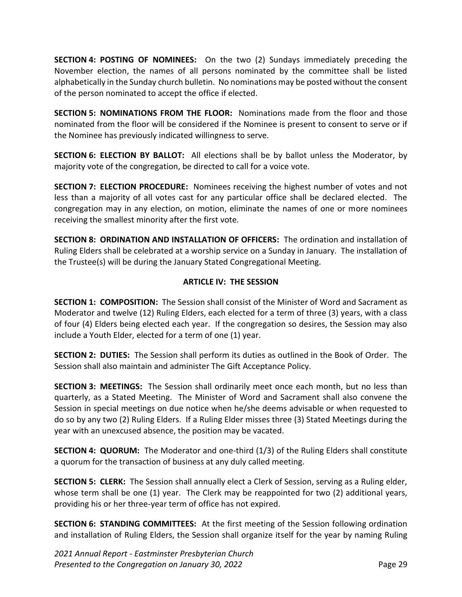**SECTION 4: POSTING OF NOMINEES:** On the two (2) Sundays immediately preceding the November election, the names of all persons nominated by the committee shall be listed alphabetically in the Sunday church bulletin. No nominations may be posted without the consent of the person nominated to accept the office if elected.

**SECTION 5: NOMINATIONS FROM THE FLOOR:** Nominations made from the floor and those nominated from the floor will be considered if the Nominee is present to consent to serve or if the Nominee has previously indicated willingness to serve.

**SECTION 6: ELECTION BY BALLOT:** All elections shall be by ballot unless the Moderator, by majority vote of the congregation, be directed to call for a voice vote.

**SECTION 7: ELECTION PROCEDURE:** Nominees receiving the highest number of votes and not less than a majority of all votes cast for any particular office shall be declared elected. The congregation may in any election, on motion, eliminate the names of one or more nominees receiving the smallest minority after the first vote.

**SECTION 8: ORDINATION AND INSTALLATION OF OFFICERS:** The ordination and installation of Ruling Elders shall be celebrated at a worship service on a Sunday in January. The installation of the Trustee(s) will be during the January Stated Congregational Meeting.

#### **ARTICLE IV: THE SESSION**

**SECTION 1: COMPOSITION:** The Session shall consist of the Minister of Word and Sacrament as Moderator and twelve (12) Ruling Elders, each elected for a term of three (3) years, with a class of four (4) Elders being elected each year. If the congregation so desires, the Session may also include a Youth Elder, elected for a term of one (1) year.

**SECTION 2: DUTIES:** The Session shall perform its duties as outlined in the Book of Order. The Session shall also maintain and administer The Gift Acceptance Policy.

**SECTION 3: MEETINGS:** The Session shall ordinarily meet once each month, but no less than quarterly, as a Stated Meeting. The Minister of Word and Sacrament shall also convene the Session in special meetings on due notice when he/she deems advisable or when requested to do so by any two (2) Ruling Elders. If a Ruling Elder misses three (3) Stated Meetings during the year with an unexcused absence, the position may be vacated.

**SECTION 4: QUORUM:** The Moderator and one-third (1/3) of the Ruling Elders shall constitute a quorum for the transaction of business at any duly called meeting.

**SECTION 5: CLERK:** The Session shall annually elect a Clerk of Session, serving as a Ruling elder, whose term shall be one (1) year. The Clerk may be reappointed for two (2) additional years, providing his or her three-year term of office has not expired.

**SECTION 6: STANDING COMMITTEES:** At the first meeting of the Session following ordination and installation of Ruling Elders, the Session shall organize itself for the year by naming Ruling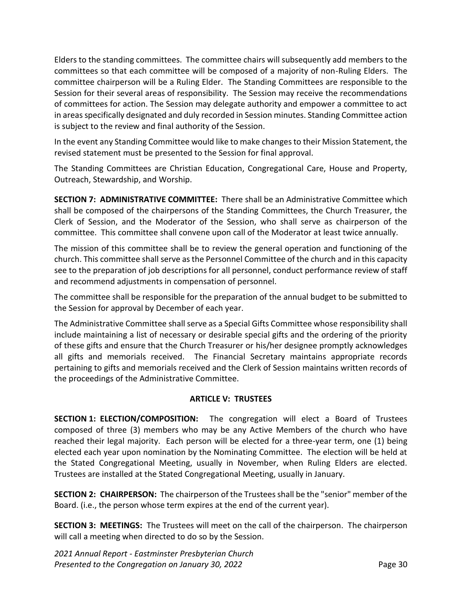Elders to the standing committees. The committee chairs will subsequently add members to the committees so that each committee will be composed of a majority of non-Ruling Elders. The committee chairperson will be a Ruling Elder. The Standing Committees are responsible to the Session for their several areas of responsibility. The Session may receive the recommendations of committees for action. The Session may delegate authority and empower a committee to act in areas specifically designated and duly recorded in Session minutes. Standing Committee action is subject to the review and final authority of the Session.

In the event any Standing Committee would like to make changes to their Mission Statement, the revised statement must be presented to the Session for final approval.

The Standing Committees are Christian Education, Congregational Care, House and Property, Outreach, Stewardship, and Worship.

**SECTION 7: ADMINISTRATIVE COMMITTEE:** There shall be an Administrative Committee which shall be composed of the chairpersons of the Standing Committees, the Church Treasurer, the Clerk of Session, and the Moderator of the Session, who shall serve as chairperson of the committee. This committee shall convene upon call of the Moderator at least twice annually.

The mission of this committee shall be to review the general operation and functioning of the church. This committee shall serve as the Personnel Committee of the church and in this capacity see to the preparation of job descriptions for all personnel, conduct performance review of staff and recommend adjustments in compensation of personnel.

The committee shall be responsible for the preparation of the annual budget to be submitted to the Session for approval by December of each year.

The Administrative Committee shall serve as a Special Gifts Committee whose responsibility shall include maintaining a list of necessary or desirable special gifts and the ordering of the priority of these gifts and ensure that the Church Treasurer or his/her designee promptly acknowledges all gifts and memorials received. The Financial Secretary maintains appropriate records pertaining to gifts and memorials received and the Clerk of Session maintains written records of the proceedings of the Administrative Committee.

#### **ARTICLE V: TRUSTEES**

**SECTION 1: ELECTION/COMPOSITION:** The congregation will elect a Board of Trustees composed of three (3) members who may be any Active Members of the church who have reached their legal majority. Each person will be elected for a three-year term, one (1) being elected each year upon nomination by the Nominating Committee. The election will be held at the Stated Congregational Meeting, usually in November, when Ruling Elders are elected. Trustees are installed at the Stated Congregational Meeting, usually in January.

**SECTION 2: CHAIRPERSON:** The chairperson of the Trustees shall be the "senior" member of the Board. (i.e., the person whose term expires at the end of the current year).

**SECTION 3: MEETINGS:** The Trustees will meet on the call of the chairperson. The chairperson will call a meeting when directed to do so by the Session.

*2021 Annual Report - Eastminster Presbyterian Church Presented to the Congregation on January 30, 2022* Page 30